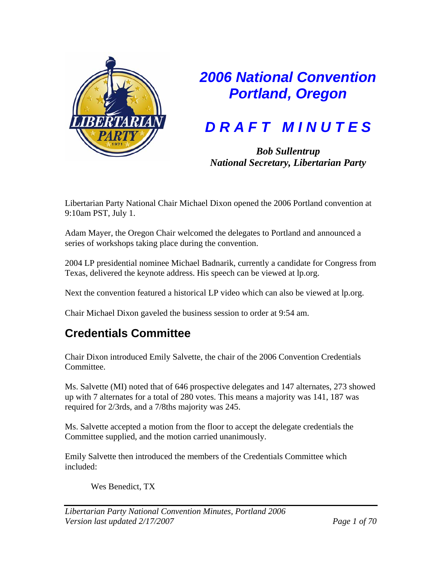

# *2006 National Convention Portland, Oregon*

# *D R A F T M I N U T E S*

*Bob Sullentrup National Secretary, Libertarian Party*

Libertarian Party National Chair Michael Dixon opened the 2006 Portland convention at 9:10am PST, July 1.

Adam Mayer, the Oregon Chair welcomed the delegates to Portland and announced a series of workshops taking place during the convention.

2004 LP presidential nominee Michael Badnarik, currently a candidate for Congress from Texas, delivered the keynote address. His speech can be viewed at lp.org.

Next the convention featured a historical LP video which can also be viewed at lp.org.

Chair Michael Dixon gaveled the business session to order at 9:54 am.

# **Credentials Committee**

Chair Dixon introduced Emily Salvette, the chair of the 2006 Convention Credentials Committee.

Ms. Salvette (MI) noted that of 646 prospective delegates and 147 alternates, 273 showed up with 7 alternates for a total of 280 votes. This means a majority was 141, 187 was required for 2/3rds, and a 7/8ths majority was 245.

Ms. Salvette accepted a motion from the floor to accept the delegate credentials the Committee supplied, and the motion carried unanimously.

Emily Salvette then introduced the members of the Credentials Committee which included:

Wes Benedict, TX

*Libertarian Party National Convention Minutes, Portland 2006 Version last updated 2/17/2007 Page 1 of 70*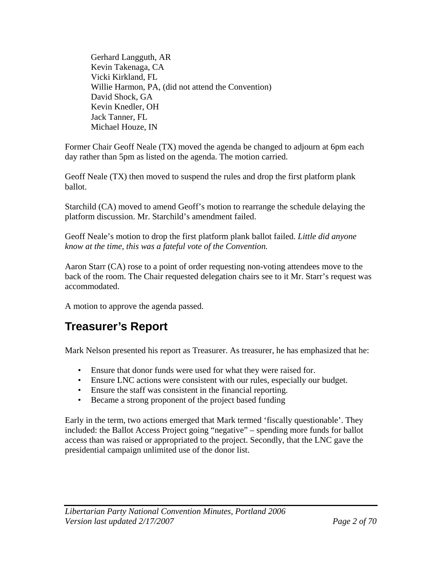Gerhard Langguth, AR Kevin Takenaga, CA Vicki Kirkland, FL Willie Harmon, PA, (did not attend the Convention) David Shock, GA Kevin Knedler, OH Jack Tanner, FL Michael Houze, IN

Former Chair Geoff Neale (TX) moved the agenda be changed to adjourn at 6pm each day rather than 5pm as listed on the agenda. The motion carried.

Geoff Neale (TX) then moved to suspend the rules and drop the first platform plank ballot.

Starchild (CA) moved to amend Geoff's motion to rearrange the schedule delaying the platform discussion. Mr. Starchild's amendment failed.

Geoff Neale's motion to drop the first platform plank ballot failed. *Little did anyone know at the time, this was a fateful vote of the Convention.* 

Aaron Starr (CA) rose to a point of order requesting non-voting attendees move to the back of the room. The Chair requested delegation chairs see to it Mr. Starr's request was accommodated.

A motion to approve the agenda passed.

# **Treasurer's Report**

Mark Nelson presented his report as Treasurer. As treasurer, he has emphasized that he:

- Ensure that donor funds were used for what they were raised for.
- Ensure LNC actions were consistent with our rules, especially our budget.
- Ensure the staff was consistent in the financial reporting.
- Became a strong proponent of the project based funding

Early in the term, two actions emerged that Mark termed 'fiscally questionable'. They included: the Ballot Access Project going "negative" – spending more funds for ballot access than was raised or appropriated to the project. Secondly, that the LNC gave the presidential campaign unlimited use of the donor list.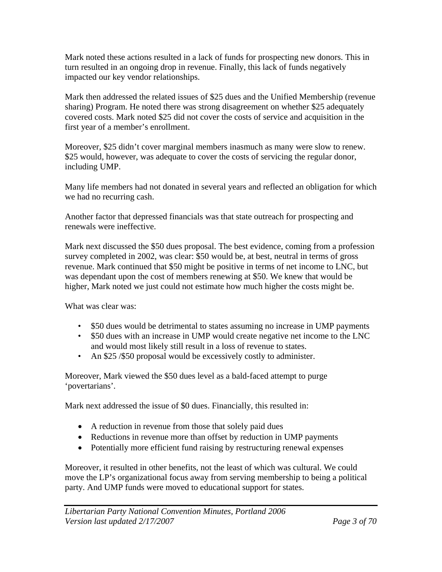Mark noted these actions resulted in a lack of funds for prospecting new donors. This in turn resulted in an ongoing drop in revenue. Finally, this lack of funds negatively impacted our key vendor relationships.

Mark then addressed the related issues of \$25 dues and the Unified Membership (revenue sharing) Program. He noted there was strong disagreement on whether \$25 adequately covered costs. Mark noted \$25 did not cover the costs of service and acquisition in the first year of a member's enrollment.

Moreover, \$25 didn't cover marginal members inasmuch as many were slow to renew. \$25 would, however, was adequate to cover the costs of servicing the regular donor, including UMP.

Many life members had not donated in several years and reflected an obligation for which we had no recurring cash.

Another factor that depressed financials was that state outreach for prospecting and renewals were ineffective.

Mark next discussed the \$50 dues proposal. The best evidence, coming from a profession survey completed in 2002, was clear: \$50 would be, at best, neutral in terms of gross revenue. Mark continued that \$50 might be positive in terms of net income to LNC, but was dependant upon the cost of members renewing at \$50. We knew that would be higher, Mark noted we just could not estimate how much higher the costs might be.

What was clear was:

- \$50 dues would be detrimental to states assuming no increase in UMP payments
- \$50 dues with an increase in UMP would create negative net income to the LNC and would most likely still result in a loss of revenue to states.
- An \$25 / \$50 proposal would be excessively costly to administer.

Moreover, Mark viewed the \$50 dues level as a bald-faced attempt to purge 'povertarians'.

Mark next addressed the issue of \$0 dues. Financially, this resulted in:

- A reduction in revenue from those that solely paid dues
- Reductions in revenue more than offset by reduction in UMP payments
- Potentially more efficient fund raising by restructuring renewal expenses

Moreover, it resulted in other benefits, not the least of which was cultural. We could move the LP's organizational focus away from serving membership to being a political party. And UMP funds were moved to educational support for states.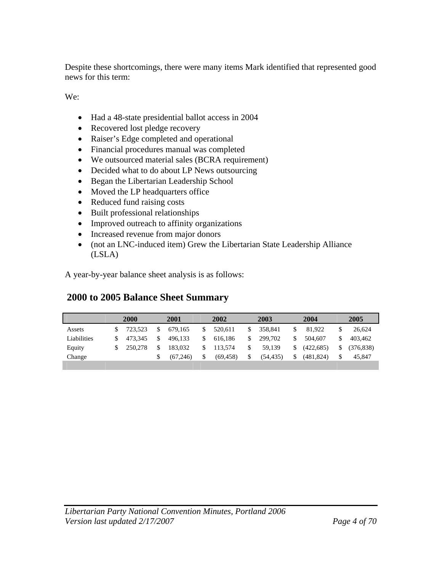Despite these shortcomings, there were many items Mark identified that represented good news for this term:

We:

- Had a 48-state presidential ballot access in 2004
- Recovered lost pledge recovery
- Raiser's Edge completed and operational
- Financial procedures manual was completed
- We outsourced material sales (BCRA requirement)
- Decided what to do about LP News outsourcing
- Began the Libertarian Leadership School
- Moved the LP headquarters office
- Reduced fund raising costs
- Built professional relationships
- Improved outreach to affinity organizations
- Increased revenue from major donors
- (not an LNC-induced item) Grew the Libertarian State Leadership Alliance (LSLA)

A year-by-year balance sheet analysis is as follows:

### **2000 to 2005 Balance Sheet Summary**

|             | 2000    | 2001          |     | 2002      |     | 2003      |     | 2004       |    | 2005      |
|-------------|---------|---------------|-----|-----------|-----|-----------|-----|------------|----|-----------|
| Assets      | 723.523 | \$<br>679.165 |     | 520.611   | \$  | 358.841   |     | 81.922     | S. | 26.624    |
| Liabilities | 473.345 | \$<br>496.133 | \$. | 616.186   | \$  | 299,702   | \$  | 504,607    | \$ | 403.462   |
| Equity      | 250.278 | 183,032       | \$. | 113.574   | \$. | 59.139    | \$. | (422, 685) | \$ | (376.838) |
| Change      |         | (67.246)      | S.  | (69, 458) | \$  | (54, 435) | \$  | (481, 824) | \$ | 45,847    |
|             |         |               |     |           |     |           |     |            |    |           |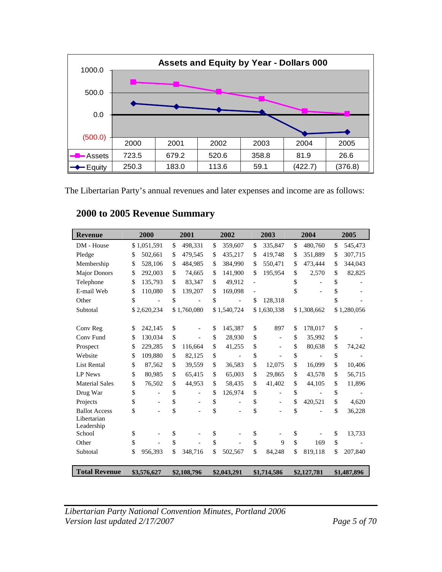

The Libertarian Party's annual revenues and later expenses and income are as follows:

| <b>Revenue</b>        | 2000                           | 2001                           |     | 2002                     | 2003                           | 2004          | 2005          |
|-----------------------|--------------------------------|--------------------------------|-----|--------------------------|--------------------------------|---------------|---------------|
| DM - House            | \$1,051,591                    | \$<br>498,331                  | \$  | 359,607                  | \$<br>335,847                  | \$<br>480,760 | \$<br>545,473 |
| Pledge                | \$<br>502,661                  | \$<br>479,545                  | \$  | 435,217                  | \$<br>419,748                  | \$<br>351,889 | \$<br>307,715 |
| Membership            | \$<br>528,106                  | \$<br>484,985                  | \$  | 384,990                  | \$<br>550,471                  | \$<br>473,444 | \$<br>344,043 |
| <b>Major Donors</b>   | \$<br>292,003                  | \$<br>74,665                   | \$  | 141,900                  | \$<br>195,954                  | \$<br>2,570   | \$<br>82,825  |
| Telephone             | \$<br>135,793                  | \$<br>83,347                   | \$. | 49,912                   |                                | \$<br>-       | \$            |
| E-mail Web            | \$<br>110,080                  | \$<br>139,207                  | \$  | 169,098                  |                                | \$            | \$            |
| Other                 | \$                             | \$                             | \$  |                          | \$<br>128,318                  |               | \$            |
| Subtotal              | \$2,620,234                    | \$1,760,080                    |     | \$1,540,724              | \$1,630,338                    | \$1,308,662   | \$1,280,056   |
|                       |                                |                                |     |                          |                                |               |               |
| Conv Reg              | \$<br>242,145                  | \$<br>$\overline{\phantom{0}}$ | \$  | 145,387                  | \$<br>897                      | \$<br>178,017 | \$            |
| Conv Fund             | \$<br>130,034                  | \$                             | \$  | 28,930                   | \$                             | \$<br>35,992  | \$            |
| Prospect              | \$<br>229,285                  | \$<br>116,664                  | \$  | 41,255                   | \$<br>$\overline{\phantom{a}}$ | \$<br>80,638  | \$<br>74,242  |
| Website               | \$<br>109,880                  | \$<br>82,125                   | \$  |                          | \$                             | \$            | \$            |
| <b>List Rental</b>    | \$<br>87,562                   | \$<br>39,559                   | \$  | 36,583                   | \$<br>12,075                   | \$<br>16,099  | \$<br>10,406  |
| <b>LP</b> News        | \$<br>80,985                   | \$<br>65,415                   | \$  | 65,003                   | \$<br>29,865                   | \$<br>43,578  | \$<br>56,715  |
| <b>Material Sales</b> | \$<br>76,502                   | \$<br>44,953                   | \$  | 58,435                   | \$<br>41,402                   | \$<br>44,105  | \$<br>11,896  |
| Drug War              | \$<br>$\overline{\phantom{0}}$ | \$<br>$\overline{\phantom{0}}$ | \$  | 126,974                  | \$<br>$\overline{\phantom{a}}$ | \$            | \$            |
| Projects              | \$<br>$\overline{\phantom{a}}$ | \$<br>$\overline{\phantom{0}}$ | \$  |                          | \$                             | \$<br>420,521 | \$<br>4,620   |
| <b>Ballot Access</b>  | \$<br>$\qquad \qquad -$        | \$                             | \$  | $\overline{\phantom{a}}$ | \$                             | \$            | \$<br>36,228  |
| Libertarian           |                                |                                |     |                          |                                |               |               |
| Leadership<br>School  | \$                             | \$                             | \$  |                          | \$                             | \$            | \$<br>13,733  |
| Other                 | \$                             | \$                             | \$  |                          | \$<br>9                        | \$<br>169     | \$            |
|                       | \$<br>956,393                  | \$                             | \$  | 502,567                  | \$<br>84,248                   | \$<br>819,118 | \$<br>207,840 |
| Subtotal              |                                | 348,716                        |     |                          |                                |               |               |
| <b>Total Revenue</b>  | \$3,576,627                    | \$2,108,796                    |     | \$2,043,291              | \$1,714,586                    | \$2,127,781   | \$1,487,896   |

### **2000 to 2005 Revenue Summary**

*Libertarian Party National Convention Minutes, Portland 2006 Version last updated 2/17/2007 Page 5 of 70*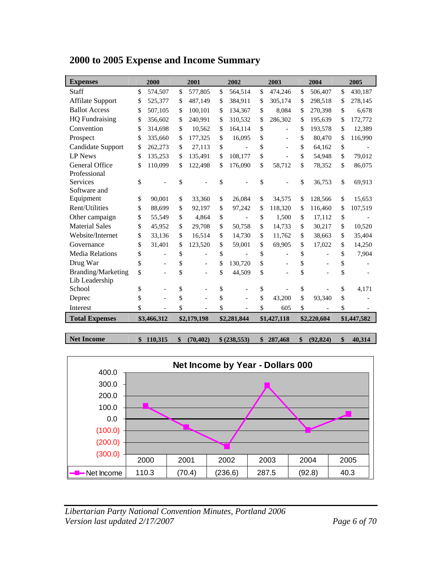| <b>Expenses</b>           | 2000          |               | 2001        | 2002          | 2003          | 2004          | 2005          |
|---------------------------|---------------|---------------|-------------|---------------|---------------|---------------|---------------|
| Staff                     | \$<br>574,507 | $\mathcal{S}$ | 577,805     | \$<br>564,514 | \$<br>474,246 | \$<br>506,407 | \$<br>430,187 |
| <b>Affilate Support</b>   | \$<br>525,377 | \$            | 487,149     | \$<br>384,911 | \$<br>305.174 | \$<br>298,518 | \$<br>278,145 |
| <b>Ballot Access</b>      | \$<br>507,105 | \$            | 100,101     | \$<br>134,367 | \$<br>8.084   | \$<br>270,398 | \$<br>6,678   |
| <b>HQ</b> Fundraising     | \$<br>356,602 | \$            | 240,991     | \$<br>310,532 | \$<br>286,302 | \$<br>195,639 | \$<br>172,772 |
| Convention                | \$<br>314,698 | \$            | 10,562      | \$<br>164,114 | \$            | \$<br>193,578 | \$<br>12,389  |
| Prospect                  | \$<br>335,660 | \$            | 177,325     | \$<br>16,095  | \$            | \$<br>80,470  | \$<br>116,990 |
| Candidate Support         | \$<br>262,273 | \$            | 27,113      | \$            | \$            | \$<br>64,162  | \$            |
| <b>LP News</b>            | \$<br>135,253 | \$            | 135,491     | \$<br>108,177 | \$            | \$<br>54,948  | \$<br>79,012  |
| General Office            | \$<br>110,099 | \$            | 122,498     | \$<br>176,090 | \$<br>58,712  | \$<br>78,352  | \$<br>86,075  |
| Professional              |               |               |             |               |               |               |               |
| <b>Services</b>           | \$            | \$            |             | \$            | \$            | \$<br>36,753  | \$<br>69,913  |
| Software and              |               |               |             |               |               |               |               |
| Equipment                 | \$<br>90,001  | \$            | 33,360      | \$<br>26,084  | \$<br>34,575  | \$<br>128,566 | \$<br>15,653  |
| Rent/Utilities            | \$<br>88,699  | \$            | 92,197      | \$<br>97,242  | \$<br>118,320 | \$<br>116,460 | \$<br>107,519 |
| Other campaign            | \$<br>55,549  | \$            | 4,864       | \$            | \$<br>1,500   | \$<br>17,112  | \$            |
| <b>Material Sales</b>     | \$<br>45,952  | \$            | 29,708      | \$<br>50,758  | \$<br>14,733  | \$<br>30,217  | \$<br>10,520  |
| Website/Internet          | \$<br>33,136  | \$            | 16,514      | \$<br>14,730  | \$<br>11,762  | \$<br>38,663  | \$<br>35,404  |
| Governance                | \$<br>31,401  | \$            | 123,520     | \$<br>59,001  | \$<br>69,905  | \$<br>17,022  | \$<br>14,250  |
| <b>Media Relations</b>    | \$            | \$            |             | \$            | \$            | \$            | \$<br>7,904   |
| Drug War                  | \$            | \$            |             | \$<br>130,720 | \$            | \$            | \$            |
| <b>Branding/Marketing</b> | \$            | \$            |             | \$<br>44,509  | \$            | \$            | \$            |
| Lib Leadership            |               |               |             |               |               |               |               |
| School                    | \$            | \$            |             | \$            | \$            | \$            | \$<br>4,171   |
| Deprec                    | \$            | \$            |             | \$            | \$<br>43.200  | \$<br>93,340  | \$            |
| Interest                  | \$            | \$            |             | \$            | \$<br>605     | \$            | \$            |
| <b>Total Expenses</b>     | \$3,466,312   |               | \$2,179,198 | \$2,281,844   | \$1,427,118   | \$2,220,604   | \$1,447,582   |

#### **2000 to 2005 Expense and Income Summary**

**Net Income \$ 110,315 \$ (70,402) \$ (238,553) \$ 287,468 \$ (92,824) \$ 40,314** 



*Libertarian Party National Convention Minutes, Portland 2006 Version last updated 2/17/2007 Page 6 of 70*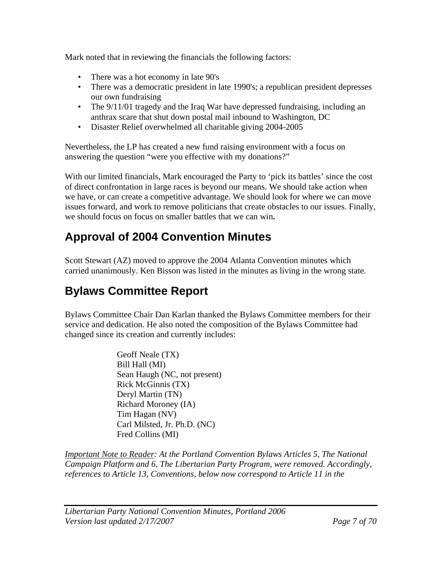Mark noted that in reviewing the financials the following factors:

- There was a hot economy in late 90's
- There was a democratic president in late 1990's; a republican president depresses our own fundraising
- The  $9/11/01$  tragedy and the Iraq War have depressed fundraising, including an anthrax scare that shut down postal mail inbound to Washington, DC
- Disaster Relief overwhelmed all charitable giving 2004-2005

Nevertheless, the LP has created a new fund raising environment with a focus on answering the question "were you effective with my donations?"

With our limited financials, Mark encouraged the Party to 'pick its battles' since the cost of direct confrontation in large races is beyond our means. We should take action when we have, or can create a competitive advantage. We should look for where we can move issues forward, and work to remove politicians that create obstacles to our issues. Finally, we should focus on focus on smaller battles that we can win**.** 

# **Approval of 2004 Convention Minutes**

Scott Stewart (AZ) moved to approve the 2004 Atlanta Convention minutes which carried unanimously. Ken Bisson was listed in the minutes as living in the wrong state.

# **Bylaws Committee Report**

Bylaws Committee Chair Dan Karlan thanked the Bylaws Committee members for their service and dedication. He also noted the composition of the Bylaws Committee had changed since its creation and currently includes:

> Geoff Neale (TX) Bill Hall (MI) Sean Haugh (NC, not present) Rick McGinnis (TX) Deryl Martin (TN) Richard Moroney (IA) Tim Hagan (NV) Carl Milsted, Jr. Ph.D. (NC) Fred Collins (MI)

*Important Note to Reader: At the Portland Convention Bylaws Articles 5, The National Campaign Platform and 6, The Libertarian Party Program, were removed. Accordingly, references to Article 13, Conventions, below now correspond to Article 11 in the*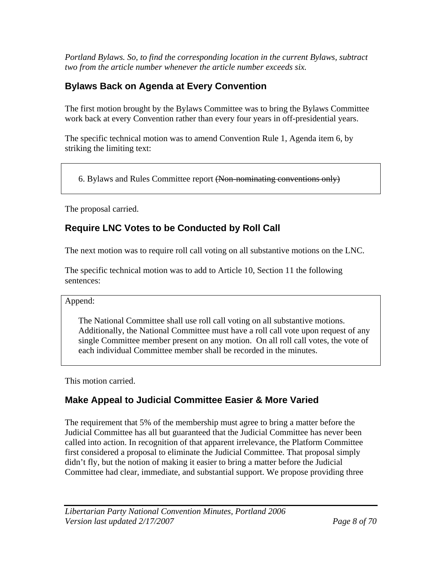*Portland Bylaws. So, to find the corresponding location in the current Bylaws, subtract two from the article number whenever the article number exceeds six.* 

### **Bylaws Back on Agenda at Every Convention**

The first motion brought by the Bylaws Committee was to bring the Bylaws Committee work back at every Convention rather than every four years in off-presidential years.

The specific technical motion was to amend Convention Rule 1, Agenda item 6, by striking the limiting text:

6. Bylaws and Rules Committee report (Non-nominating conventions only)

The proposal carried.

### **Require LNC Votes to be Conducted by Roll Call**

The next motion was to require roll call voting on all substantive motions on the LNC.

The specific technical motion was to add to Article 10, Section 11 the following sentences:

#### Append:

The National Committee shall use roll call voting on all substantive motions. Additionally, the National Committee must have a roll call vote upon request of any single Committee member present on any motion. On all roll call votes, the vote of each individual Committee member shall be recorded in the minutes.

This motion carried.

### **Make Appeal to Judicial Committee Easier & More Varied**

The requirement that 5% of the membership must agree to bring a matter before the Judicial Committee has all but guaranteed that the Judicial Committee has never been called into action. In recognition of that apparent irrelevance, the Platform Committee first considered a proposal to eliminate the Judicial Committee. That proposal simply didn't fly, but the notion of making it easier to bring a matter before the Judicial Committee had clear, immediate, and substantial support. We propose providing three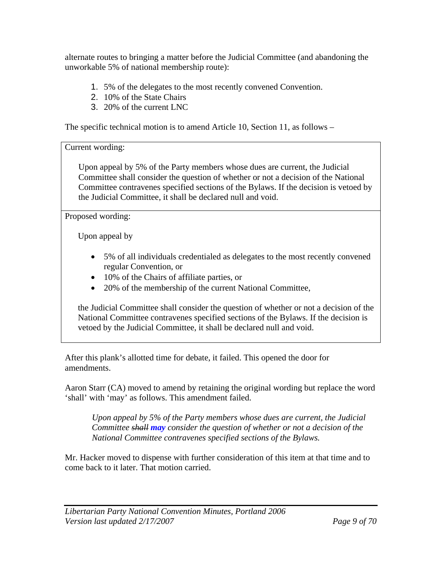alternate routes to bringing a matter before the Judicial Committee (and abandoning the unworkable 5% of national membership route):

- 1. 5% of the delegates to the most recently convened Convention.
- 2. 10% of the State Chairs
- 3. 20% of the current LNC

The specific technical motion is to amend Article 10, Section 11, as follows –

Current wording:

Upon appeal by 5% of the Party members whose dues are current, the Judicial Committee shall consider the question of whether or not a decision of the National Committee contravenes specified sections of the Bylaws. If the decision is vetoed by the Judicial Committee, it shall be declared null and void.

Proposed wording:

Upon appeal by

- 5% of all individuals credentialed as delegates to the most recently convened regular Convention, or
- 10% of the Chairs of affiliate parties, or
- 20% of the membership of the current National Committee,

the Judicial Committee shall consider the question of whether or not a decision of the National Committee contravenes specified sections of the Bylaws. If the decision is vetoed by the Judicial Committee, it shall be declared null and void.

After this plank's allotted time for debate, it failed. This opened the door for amendments.

Aaron Starr (CA) moved to amend by retaining the original wording but replace the word 'shall' with 'may' as follows. This amendment failed.

*Upon appeal by 5% of the Party members whose dues are current, the Judicial Committee shall may consider the question of whether or not a decision of the National Committee contravenes specified sections of the Bylaws.* 

Mr. Hacker moved to dispense with further consideration of this item at that time and to come back to it later. That motion carried.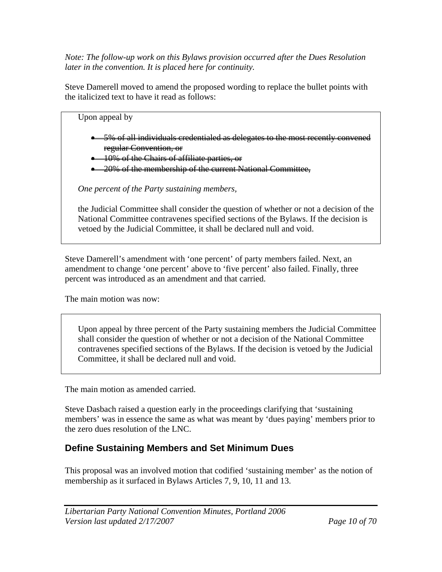*Note: The follow-up work on this Bylaws provision occurred after the Dues Resolution later in the convention. It is placed here for continuity.* 

Steve Damerell moved to amend the proposed wording to replace the bullet points with the italicized text to have it read as follows:

Upon appeal by • 5% of all individuals credentialed as delegates to the most recently convened regular Convention, or • 10% of the Chairs of affiliate parties, or

• 20% of the membership of the current National Committee,

*One percent of the Party sustaining members,* 

the Judicial Committee shall consider the question of whether or not a decision of the National Committee contravenes specified sections of the Bylaws. If the decision is vetoed by the Judicial Committee, it shall be declared null and void.

Steve Damerell's amendment with 'one percent' of party members failed. Next, an amendment to change 'one percent' above to 'five percent' also failed. Finally, three percent was introduced as an amendment and that carried.

The main motion was now:

Upon appeal by three percent of the Party sustaining members the Judicial Committee shall consider the question of whether or not a decision of the National Committee contravenes specified sections of the Bylaws. If the decision is vetoed by the Judicial Committee, it shall be declared null and void.

The main motion as amended carried.

Steve Dasbach raised a question early in the proceedings clarifying that 'sustaining members' was in essence the same as what was meant by 'dues paying' members prior to the zero dues resolution of the LNC.

### **Define Sustaining Members and Set Minimum Dues**

This proposal was an involved motion that codified 'sustaining member' as the notion of membership as it surfaced in Bylaws Articles 7, 9, 10, 11 and 13.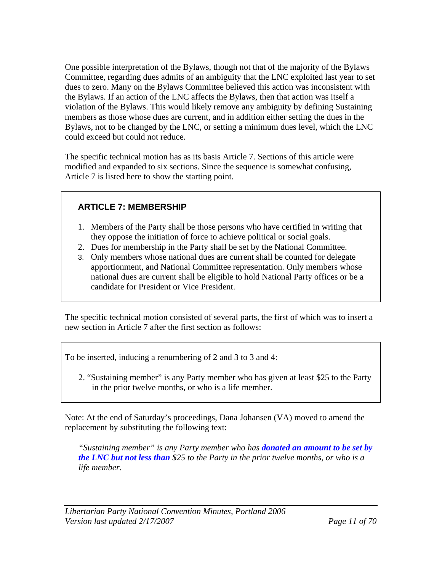One possible interpretation of the Bylaws, though not that of the majority of the Bylaws Committee, regarding dues admits of an ambiguity that the LNC exploited last year to set dues to zero. Many on the Bylaws Committee believed this action was inconsistent with the Bylaws. If an action of the LNC affects the Bylaws, then that action was itself a violation of the Bylaws. This would likely remove any ambiguity by defining Sustaining members as those whose dues are current, and in addition either setting the dues in the Bylaws, not to be changed by the LNC, or setting a minimum dues level, which the LNC could exceed but could not reduce.

The specific technical motion has as its basis Article 7. Sections of this article were modified and expanded to six sections. Since the sequence is somewhat confusing, Article 7 is listed here to show the starting point.

#### **ARTICLE 7: MEMBERSHIP**

- 1. Members of the Party shall be those persons who have certified in writing that they oppose the initiation of force to achieve political or social goals.
- 2. Dues for membership in the Party shall be set by the National Committee.
- 3. Only members whose national dues are current shall be counted for delegate apportionment, and National Committee representation. Only members whose national dues are current shall be eligible to hold National Party offices or be a candidate for President or Vice President.

The specific technical motion consisted of several parts, the first of which was to insert a new section in Article 7 after the first section as follows:

To be inserted, inducing a renumbering of 2 and 3 to 3 and 4:

2. "Sustaining member" is any Party member who has given at least \$25 to the Party in the prior twelve months, or who is a life member.

Note: At the end of Saturday's proceedings, Dana Johansen (VA) moved to amend the replacement by substituting the following text:

*"Sustaining member" is any Party member who has donated an amount to be set by the LNC but not less than \$25 to the Party in the prior twelve months, or who is a life member.*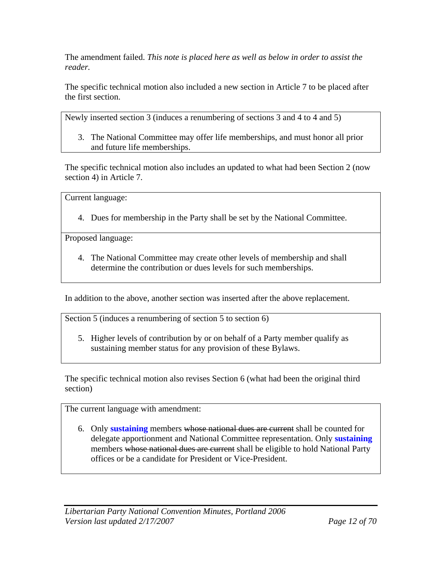The amendment failed. *This note is placed here as well as below in order to assist the reader.* 

The specific technical motion also included a new section in Article 7 to be placed after the first section.

Newly inserted section 3 (induces a renumbering of sections 3 and 4 to 4 and 5)

3. The National Committee may offer life memberships, and must honor all prior and future life memberships.

The specific technical motion also includes an updated to what had been Section 2 (now section 4) in Article 7.

Current language:

4. Dues for membership in the Party shall be set by the National Committee.

Proposed language:

4. The National Committee may create other levels of membership and shall determine the contribution or dues levels for such memberships.

In addition to the above, another section was inserted after the above replacement.

Section 5 (induces a renumbering of section 5 to section 6)

5. Higher levels of contribution by or on behalf of a Party member qualify as sustaining member status for any provision of these Bylaws.

The specific technical motion also revises Section 6 (what had been the original third section)

The current language with amendment:

6. Only **sustaining** members whose national dues are current shall be counted for delegate apportionment and National Committee representation. Only **sustaining** members whose national dues are current shall be eligible to hold National Party offices or be a candidate for President or Vice-President.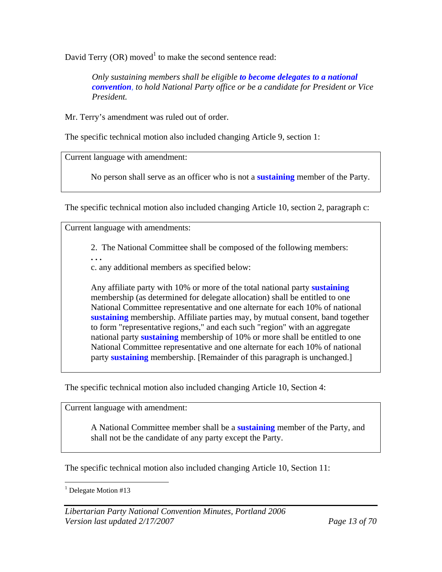David Terry  $(OR)$  moved<sup>1</sup> to make the second sentence read:

*Only sustaining members shall be eligible to become delegates to a national convention, to hold National Party office or be a candidate for President or Vice President.*

Mr. Terry's amendment was ruled out of order.

The specific technical motion also included changing Article 9, section 1:

Current language with amendment:

No person shall serve as an officer who is not a **sustaining** member of the Party.

The specific technical motion also included changing Article 10, section 2, paragraph c:

Current language with amendments:

2. The National Committee shall be composed of the following members:

**. . .** 

c. any additional members as specified below:

Any affiliate party with 10% or more of the total national party **sustaining** membership (as determined for delegate allocation) shall be entitled to one National Committee representative and one alternate for each 10% of national **sustaining** membership. Affiliate parties may, by mutual consent, band together to form "representative regions," and each such "region" with an aggregate national party **sustaining** membership of 10% or more shall be entitled to one National Committee representative and one alternate for each 10% of national party **sustaining** membership. [Remainder of this paragraph is unchanged.]

The specific technical motion also included changing Article 10, Section 4:

Current language with amendment:

A National Committee member shall be a **sustaining** member of the Party, and shall not be the candidate of any party except the Party.

The specific technical motion also included changing Article 10, Section 11:

 $\overline{a}$ <sup>1</sup> Delegate Motion #13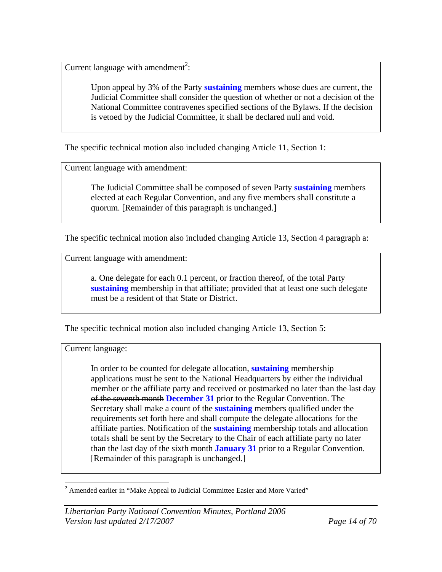Current language with amendment<sup>2</sup>:

Upon appeal by 3% of the Party **sustaining** members whose dues are current, the Judicial Committee shall consider the question of whether or not a decision of the National Committee contravenes specified sections of the Bylaws. If the decision is vetoed by the Judicial Committee, it shall be declared null and void.

The specific technical motion also included changing Article 11, Section 1:

Current language with amendment:

The Judicial Committee shall be composed of seven Party **sustaining** members elected at each Regular Convention, and any five members shall constitute a quorum. [Remainder of this paragraph is unchanged.]

The specific technical motion also included changing Article 13, Section 4 paragraph a:

Current language with amendment:

a. One delegate for each 0.1 percent, or fraction thereof, of the total Party **sustaining** membership in that affiliate; provided that at least one such delegate must be a resident of that State or District.

The specific technical motion also included changing Article 13, Section 5:

#### Current language:

In order to be counted for delegate allocation, **sustaining** membership applications must be sent to the National Headquarters by either the individual member or the affiliate party and received or postmarked no later than the last day of the seventh month **December 31** prior to the Regular Convention. The Secretary shall make a count of the **sustaining** members qualified under the requirements set forth here and shall compute the delegate allocations for the affiliate parties. Notification of the **sustaining** membership totals and allocation totals shall be sent by the Secretary to the Chair of each affiliate party no later than the last day of the sixth month **January 31** prior to a Regular Convention. [Remainder of this paragraph is unchanged.]

<sup>&</sup>lt;sup>2</sup> Amended earlier in "Make Appeal to Judicial Committee Easier and More Varied"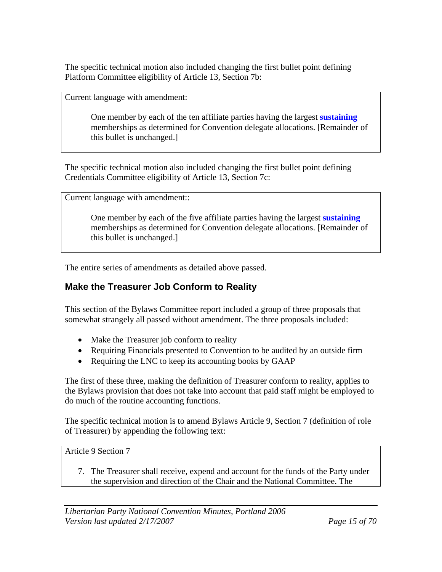The specific technical motion also included changing the first bullet point defining Platform Committee eligibility of Article 13, Section 7b:

Current language with amendment:

One member by each of the ten affiliate parties having the largest **sustaining** memberships as determined for Convention delegate allocations. [Remainder of this bullet is unchanged.]

The specific technical motion also included changing the first bullet point defining Credentials Committee eligibility of Article 13, Section 7c:

Current language with amendment::

One member by each of the five affiliate parties having the largest **sustaining**  memberships as determined for Convention delegate allocations. [Remainder of this bullet is unchanged.]

The entire series of amendments as detailed above passed.

#### **Make the Treasurer Job Conform to Reality**

This section of the Bylaws Committee report included a group of three proposals that somewhat strangely all passed without amendment. The three proposals included:

- Make the Treasurer job conform to reality
- Requiring Financials presented to Convention to be audited by an outside firm
- Requiring the LNC to keep its accounting books by GAAP

The first of these three, making the definition of Treasurer conform to reality, applies to the Bylaws provision that does not take into account that paid staff might be employed to do much of the routine accounting functions.

The specific technical motion is to amend Bylaws Article 9, Section 7 (definition of role of Treasurer) by appending the following text:

Article 9 Section 7

7. The Treasurer shall receive, expend and account for the funds of the Party under the supervision and direction of the Chair and the National Committee. The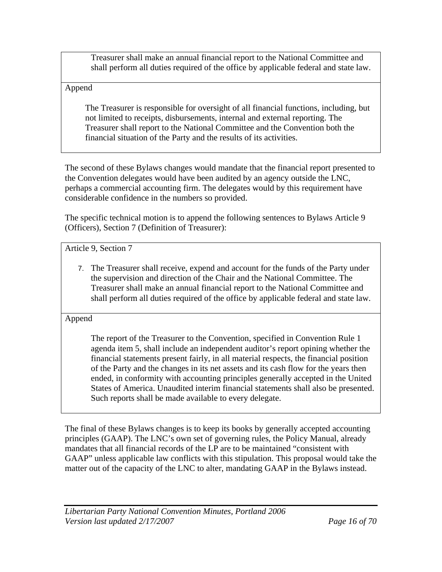Treasurer shall make an annual financial report to the National Committee and shall perform all duties required of the office by applicable federal and state law.

#### Append

The Treasurer is responsible for oversight of all financial functions, including, but not limited to receipts, disbursements, internal and external reporting. The Treasurer shall report to the National Committee and the Convention both the financial situation of the Party and the results of its activities.

The second of these Bylaws changes would mandate that the financial report presented to the Convention delegates would have been audited by an agency outside the LNC, perhaps a commercial accounting firm. The delegates would by this requirement have considerable confidence in the numbers so provided.

The specific technical motion is to append the following sentences to Bylaws Article 9 (Officers), Section 7 (Definition of Treasurer):

Article 9, Section 7

7. The Treasurer shall receive, expend and account for the funds of the Party under the supervision and direction of the Chair and the National Committee. The Treasurer shall make an annual financial report to the National Committee and shall perform all duties required of the office by applicable federal and state law.

Append

The report of the Treasurer to the Convention, specified in Convention Rule 1 agenda item 5, shall include an independent auditor's report opining whether the financial statements present fairly, in all material respects, the financial position of the Party and the changes in its net assets and its cash flow for the years then ended, in conformity with accounting principles generally accepted in the United States of America. Unaudited interim financial statements shall also be presented. Such reports shall be made available to every delegate.

The final of these Bylaws changes is to keep its books by generally accepted accounting principles (GAAP). The LNC's own set of governing rules, the Policy Manual, already mandates that all financial records of the LP are to be maintained "consistent with GAAP" unless applicable law conflicts with this stipulation. This proposal would take the matter out of the capacity of the LNC to alter, mandating GAAP in the Bylaws instead.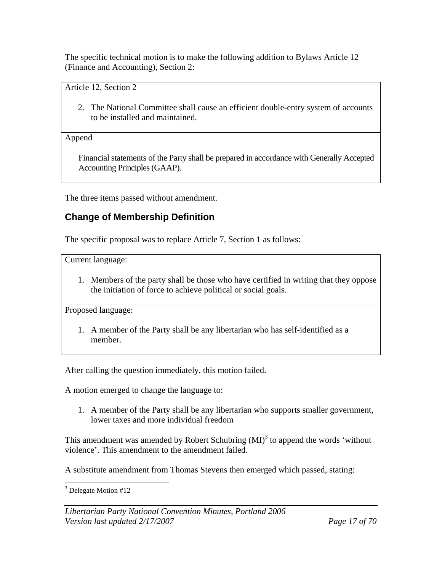The specific technical motion is to make the following addition to Bylaws Article 12 (Finance and Accounting), Section 2:

Article 12, Section 2

2. The National Committee shall cause an efficient double-entry system of accounts to be installed and maintained.

Append

Financial statements of the Party shall be prepared in accordance with Generally Accepted Accounting Principles (GAAP).

The three items passed without amendment.

### **Change of Membership Definition**

The specific proposal was to replace Article 7, Section 1 as follows:

Current language:

1. Members of the party shall be those who have certified in writing that they oppose the initiation of force to achieve political or social goals.

Proposed language:

1. A member of the Party shall be any libertarian who has self-identified as a member.

After calling the question immediately, this motion failed.

A motion emerged to change the language to:

1. A member of the Party shall be any libertarian who supports smaller government, lower taxes and more individual freedom

This amendment was amended by Robert Schubring  $(MI)^3$  to append the words 'without violence'. This amendment to the amendment failed.

A substitute amendment from Thomas Stevens then emerged which passed, stating:

 $\overline{a}$ <sup>3</sup> Delegate Motion #12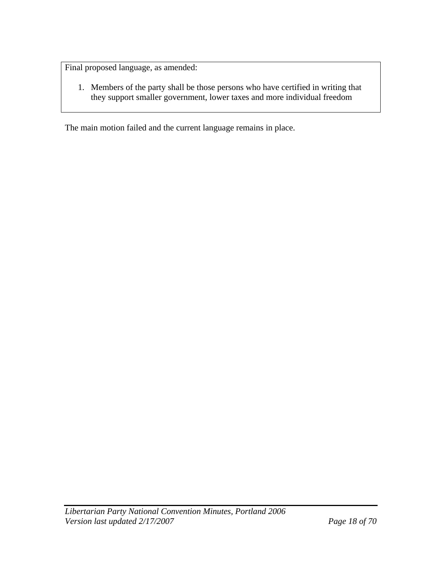Final proposed language, as amended:

1. Members of the party shall be those persons who have certified in writing that they support smaller government, lower taxes and more individual freedom

The main motion failed and the current language remains in place.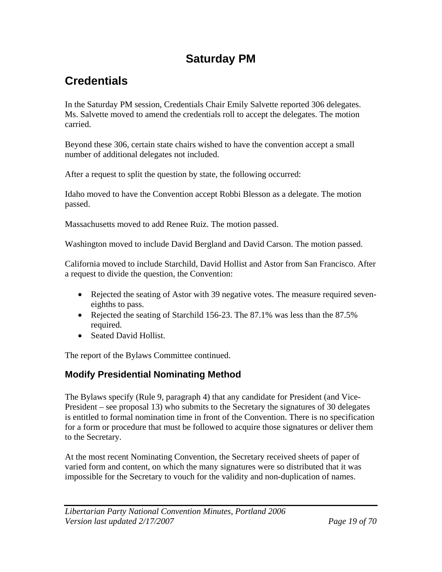# **Saturday PM**

# **Credentials**

In the Saturday PM session, Credentials Chair Emily Salvette reported 306 delegates. Ms. Salvette moved to amend the credentials roll to accept the delegates. The motion carried.

Beyond these 306, certain state chairs wished to have the convention accept a small number of additional delegates not included.

After a request to split the question by state, the following occurred:

Idaho moved to have the Convention accept Robbi Blesson as a delegate. The motion passed.

Massachusetts moved to add Renee Ruiz. The motion passed.

Washington moved to include David Bergland and David Carson. The motion passed.

California moved to include Starchild, David Hollist and Astor from San Francisco. After a request to divide the question, the Convention:

- Rejected the seating of Astor with 39 negative votes. The measure required seveneighths to pass.
- Rejected the seating of Starchild 156-23. The 87.1% was less than the 87.5% required.
- Seated David Hollist.

The report of the Bylaws Committee continued.

### **Modify Presidential Nominating Method**

The Bylaws specify (Rule 9, paragraph 4) that any candidate for President (and Vice-President – see proposal 13) who submits to the Secretary the signatures of 30 delegates is entitled to formal nomination time in front of the Convention. There is no specification for a form or procedure that must be followed to acquire those signatures or deliver them to the Secretary.

At the most recent Nominating Convention, the Secretary received sheets of paper of varied form and content, on which the many signatures were so distributed that it was impossible for the Secretary to vouch for the validity and non-duplication of names.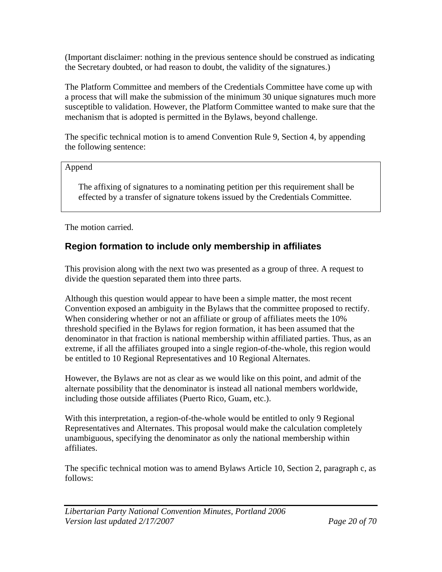(Important disclaimer: nothing in the previous sentence should be construed as indicating the Secretary doubted, or had reason to doubt, the validity of the signatures.)

The Platform Committee and members of the Credentials Committee have come up with a process that will make the submission of the minimum 30 unique signatures much more susceptible to validation. However, the Platform Committee wanted to make sure that the mechanism that is adopted is permitted in the Bylaws, beyond challenge.

The specific technical motion is to amend Convention Rule 9, Section 4, by appending the following sentence:

#### Append

The affixing of signatures to a nominating petition per this requirement shall be effected by a transfer of signature tokens issued by the Credentials Committee.

The motion carried.

### **Region formation to include only membership in affiliates**

This provision along with the next two was presented as a group of three. A request to divide the question separated them into three parts.

Although this question would appear to have been a simple matter, the most recent Convention exposed an ambiguity in the Bylaws that the committee proposed to rectify. When considering whether or not an affiliate or group of affiliates meets the 10% threshold specified in the Bylaws for region formation, it has been assumed that the denominator in that fraction is national membership within affiliated parties. Thus, as an extreme, if all the affiliates grouped into a single region-of-the-whole, this region would be entitled to 10 Regional Representatives and 10 Regional Alternates.

However, the Bylaws are not as clear as we would like on this point, and admit of the alternate possibility that the denominator is instead all national members worldwide, including those outside affiliates (Puerto Rico, Guam, etc.).

With this interpretation, a region-of-the-whole would be entitled to only 9 Regional Representatives and Alternates. This proposal would make the calculation completely unambiguous, specifying the denominator as only the national membership within affiliates.

The specific technical motion was to amend Bylaws Article 10, Section 2, paragraph c, as follows:

*Libertarian Party National Convention Minutes, Portland 2006 Version last updated 2/17/2007 Page 20 of 70*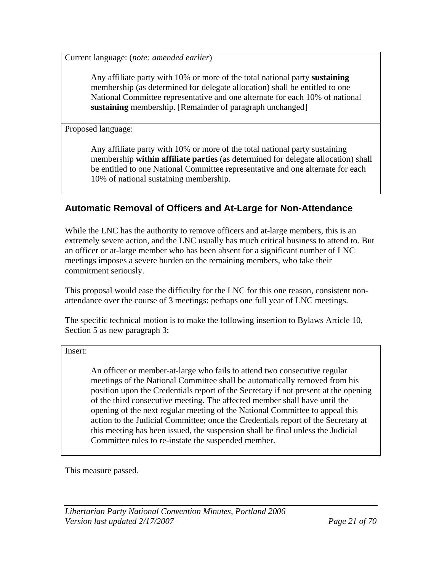Current language: (*note: amended earlier*)

Any affiliate party with 10% or more of the total national party **sustaining** membership (as determined for delegate allocation) shall be entitled to one National Committee representative and one alternate for each 10% of national **sustaining** membership. [Remainder of paragraph unchanged]

Proposed language:

Any affiliate party with 10% or more of the total national party sustaining membership **within affiliate parties** (as determined for delegate allocation) shall be entitled to one National Committee representative and one alternate for each 10% of national sustaining membership.

### **Automatic Removal of Officers and At-Large for Non-Attendance**

While the LNC has the authority to remove officers and at-large members, this is an extremely severe action, and the LNC usually has much critical business to attend to. But an officer or at-large member who has been absent for a significant number of LNC meetings imposes a severe burden on the remaining members, who take their commitment seriously.

This proposal would ease the difficulty for the LNC for this one reason, consistent nonattendance over the course of 3 meetings: perhaps one full year of LNC meetings.

The specific technical motion is to make the following insertion to Bylaws Article 10, Section 5 as new paragraph 3:

Insert:

An officer or member-at-large who fails to attend two consecutive regular meetings of the National Committee shall be automatically removed from his position upon the Credentials report of the Secretary if not present at the opening of the third consecutive meeting. The affected member shall have until the opening of the next regular meeting of the National Committee to appeal this action to the Judicial Committee; once the Credentials report of the Secretary at this meeting has been issued, the suspension shall be final unless the Judicial Committee rules to re-instate the suspended member.

This measure passed.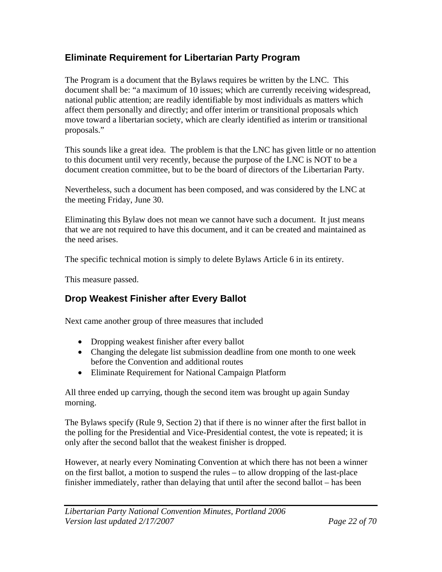### **Eliminate Requirement for Libertarian Party Program**

The Program is a document that the Bylaws requires be written by the LNC. This document shall be: "a maximum of 10 issues; which are currently receiving widespread, national public attention; are readily identifiable by most individuals as matters which affect them personally and directly; and offer interim or transitional proposals which move toward a libertarian society, which are clearly identified as interim or transitional proposals."

This sounds like a great idea. The problem is that the LNC has given little or no attention to this document until very recently, because the purpose of the LNC is NOT to be a document creation committee, but to be the board of directors of the Libertarian Party.

Nevertheless, such a document has been composed, and was considered by the LNC at the meeting Friday, June 30.

Eliminating this Bylaw does not mean we cannot have such a document. It just means that we are not required to have this document, and it can be created and maintained as the need arises.

The specific technical motion is simply to delete Bylaws Article 6 in its entirety.

This measure passed.

### **Drop Weakest Finisher after Every Ballot**

Next came another group of three measures that included

- Dropping weakest finisher after every ballot
- Changing the delegate list submission deadline from one month to one week before the Convention and additional routes
- Eliminate Requirement for National Campaign Platform

All three ended up carrying, though the second item was brought up again Sunday morning.

The Bylaws specify (Rule 9, Section 2) that if there is no winner after the first ballot in the polling for the Presidential and Vice-Presidential contest, the vote is repeated; it is only after the second ballot that the weakest finisher is dropped.

However, at nearly every Nominating Convention at which there has not been a winner on the first ballot, a motion to suspend the rules – to allow dropping of the last-place finisher immediately, rather than delaying that until after the second ballot – has been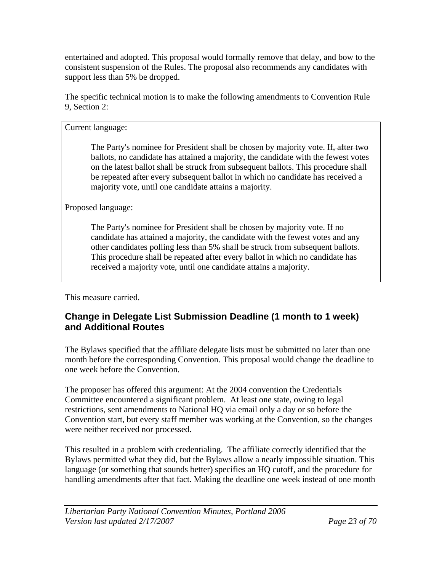entertained and adopted. This proposal would formally remove that delay, and bow to the consistent suspension of the Rules. The proposal also recommends any candidates with support less than 5% be dropped.

The specific technical motion is to make the following amendments to Convention Rule 9, Section 2:

Current language:

The Party's nominee for President shall be chosen by majority vote. If, after two ballots, no candidate has attained a majority, the candidate with the fewest votes on the latest ballot shall be struck from subsequent ballots. This procedure shall be repeated after every subsequent ballot in which no candidate has received a majority vote, until one candidate attains a majority.

Proposed language:

The Party's nominee for President shall be chosen by majority vote. If no candidate has attained a majority, the candidate with the fewest votes and any other candidates polling less than 5% shall be struck from subsequent ballots. This procedure shall be repeated after every ballot in which no candidate has received a majority vote, until one candidate attains a majority.

This measure carried.

### **Change in Delegate List Submission Deadline (1 month to 1 week) and Additional Routes**

The Bylaws specified that the affiliate delegate lists must be submitted no later than one month before the corresponding Convention. This proposal would change the deadline to one week before the Convention.

The proposer has offered this argument: At the 2004 convention the Credentials Committee encountered a significant problem. At least one state, owing to legal restrictions, sent amendments to National HQ via email only a day or so before the Convention start, but every staff member was working at the Convention, so the changes were neither received nor processed.

This resulted in a problem with credentialing. The affiliate correctly identified that the Bylaws permitted what they did, but the Bylaws allow a nearly impossible situation. This language (or something that sounds better) specifies an HQ cutoff, and the procedure for handling amendments after that fact. Making the deadline one week instead of one month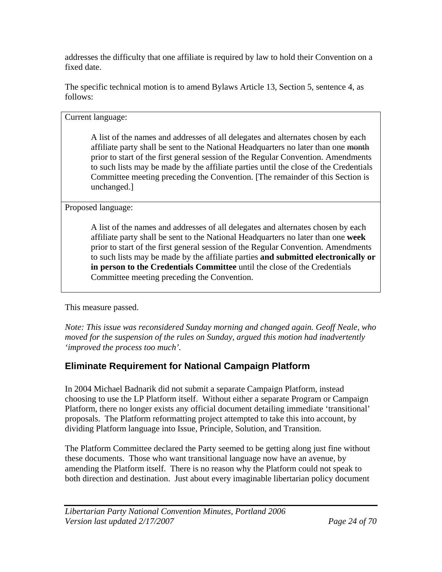addresses the difficulty that one affiliate is required by law to hold their Convention on a fixed date.

The specific technical motion is to amend Bylaws Article 13, Section 5, sentence 4, as follows:

Current language:

A list of the names and addresses of all delegates and alternates chosen by each affiliate party shall be sent to the National Headquarters no later than one month prior to start of the first general session of the Regular Convention. Amendments to such lists may be made by the affiliate parties until the close of the Credentials Committee meeting preceding the Convention. [The remainder of this Section is unchanged.]

Proposed language:

A list of the names and addresses of all delegates and alternates chosen by each affiliate party shall be sent to the National Headquarters no later than one **week** prior to start of the first general session of the Regular Convention. Amendments to such lists may be made by the affiliate parties **and submitted electronically or in person to the Credentials Committee** until the close of the Credentials Committee meeting preceding the Convention.

This measure passed.

*Note: This issue was reconsidered Sunday morning and changed again. Geoff Neale, who moved for the suspension of the rules on Sunday, argued this motion had inadvertently 'improved the process too much'.* 

### **Eliminate Requirement for National Campaign Platform**

In 2004 Michael Badnarik did not submit a separate Campaign Platform, instead choosing to use the LP Platform itself. Without either a separate Program or Campaign Platform, there no longer exists any official document detailing immediate 'transitional' proposals. The Platform reformatting project attempted to take this into account, by dividing Platform language into Issue, Principle, Solution, and Transition.

The Platform Committee declared the Party seemed to be getting along just fine without these documents. Those who want transitional language now have an avenue, by amending the Platform itself. There is no reason why the Platform could not speak to both direction and destination. Just about every imaginable libertarian policy document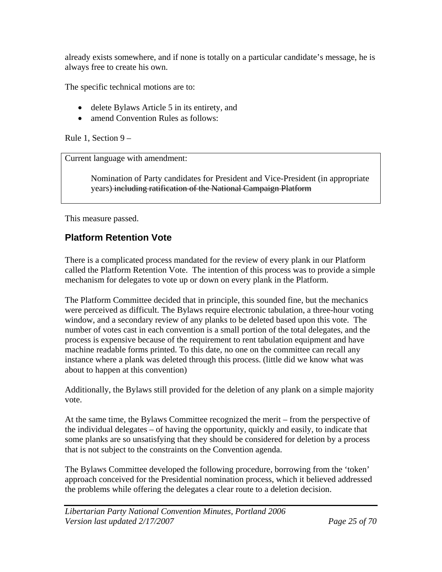already exists somewhere, and if none is totally on a particular candidate's message, he is always free to create his own.

The specific technical motions are to:

- delete Bylaws Article 5 in its entirety, and
- amend Convention Rules as follows:

Rule 1, Section 9 –

Current language with amendment:

Nomination of Party candidates for President and Vice-President (in appropriate years) including ratification of the National Campaign Platform

This measure passed.

### **Platform Retention Vote**

There is a complicated process mandated for the review of every plank in our Platform called the Platform Retention Vote. The intention of this process was to provide a simple mechanism for delegates to vote up or down on every plank in the Platform.

The Platform Committee decided that in principle, this sounded fine, but the mechanics were perceived as difficult. The Bylaws require electronic tabulation, a three-hour voting window, and a secondary review of any planks to be deleted based upon this vote. The number of votes cast in each convention is a small portion of the total delegates, and the process is expensive because of the requirement to rent tabulation equipment and have machine readable forms printed. To this date, no one on the committee can recall any instance where a plank was deleted through this process. (little did we know what was about to happen at this convention)

Additionally, the Bylaws still provided for the deletion of any plank on a simple majority vote.

At the same time, the Bylaws Committee recognized the merit – from the perspective of the individual delegates – of having the opportunity, quickly and easily, to indicate that some planks are so unsatisfying that they should be considered for deletion by a process that is not subject to the constraints on the Convention agenda.

The Bylaws Committee developed the following procedure, borrowing from the 'token' approach conceived for the Presidential nomination process, which it believed addressed the problems while offering the delegates a clear route to a deletion decision.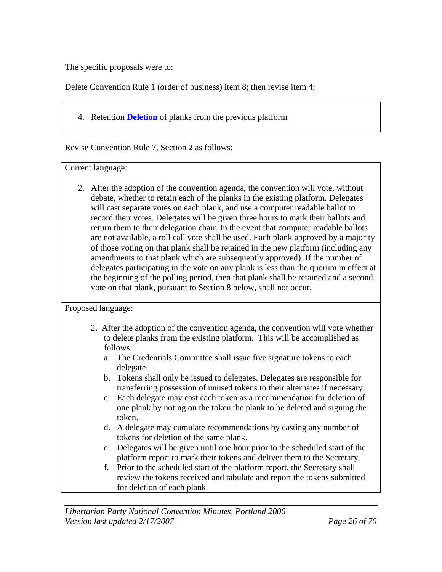The specific proposals were to:

Delete Convention Rule 1 (order of business) item 8; then revise item 4:

4. Retention **Deletion** of planks from the previous platform

Revise Convention Rule 7, Section 2 as follows:

Current language:

2. After the adoption of the convention agenda, the convention will vote, without debate, whether to retain each of the planks in the existing platform. Delegates will cast separate votes on each plank, and use a computer readable ballot to record their votes. Delegates will be given three hours to mark their ballots and return them to their delegation chair. In the event that computer readable ballots are not available, a roll call vote shall be used. Each plank approved by a majority of those voting on that plank shall be retained in the new platform (including any amendments to that plank which are subsequently approved). If the number of delegates participating in the vote on any plank is less than the quorum in effect at the beginning of the polling period, then that plank shall be retained and a second vote on that plank, pursuant to Section 8 below, shall not occur.

Proposed language:

- 2. After the adoption of the convention agenda, the convention will vote whether to delete planks from the existing platform. This will be accomplished as follows:
	- a. The Credentials Committee shall issue five signature tokens to each delegate.
	- b. Tokens shall only be issued to delegates. Delegates are responsible for transferring possession of unused tokens to their alternates if necessary.
	- c. Each delegate may cast each token as a recommendation for deletion of one plank by noting on the token the plank to be deleted and signing the token.
	- d. A delegate may cumulate recommendations by casting any number of tokens for deletion of the same plank.
	- e. Delegates will be given until one hour prior to the scheduled start of the platform report to mark their tokens and deliver them to the Secretary.
	- f. Prior to the scheduled start of the platform report, the Secretary shall review the tokens received and tabulate and report the tokens submitted for deletion of each plank.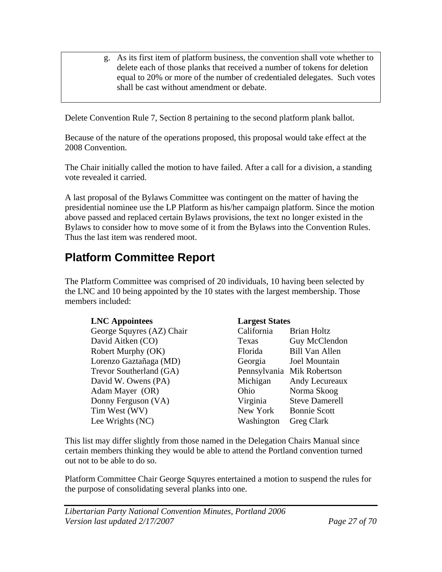g. As its first item of platform business, the convention shall vote whether to delete each of those planks that received a number of tokens for deletion equal to 20% or more of the number of credentialed delegates. Such votes shall be cast without amendment or debate.

Delete Convention Rule 7, Section 8 pertaining to the second platform plank ballot.

Because of the nature of the operations proposed, this proposal would take effect at the 2008 Convention.

The Chair initially called the motion to have failed. After a call for a division, a standing vote revealed it carried.

A last proposal of the Bylaws Committee was contingent on the matter of having the presidential nominee use the LP Platform as his/her campaign platform. Since the motion above passed and replaced certain Bylaws provisions, the text no longer existed in the Bylaws to consider how to move some of it from the Bylaws into the Convention Rules. Thus the last item was rendered moot.

# **Platform Committee Report**

The Platform Committee was comprised of 20 individuals, 10 having been selected by the LNC and 10 being appointed by the 10 states with the largest membership. Those members included:

#### **LNC Appointees Largest States**

George Squyres (AZ) Chair David Aitken (CO) Robert Murphy (OK) Lorenzo Gaztañaga (MD) Trevor Southerland (GA) David W. Owens (PA) Adam Mayer (OR) Donny Ferguson (VA) Tim West (WV) Lee Wrights (NC)

| California   | <b>Brian Holtz</b>    |
|--------------|-----------------------|
| Texas        | Guy McClendon         |
| Florida      | <b>Bill Van Allen</b> |
| Georgia      | <b>Joel Mountain</b>  |
| Pennsylvania | Mik Robertson         |
| Michigan     | Andy Lecureaux        |
| Ohio         | Norma Skoog           |
| Virginia     | <b>Steve Damerell</b> |
| New York     | <b>Bonnie Scott</b>   |
| Washington   | Greg Clark            |
|              |                       |

This list may differ slightly from those named in the Delegation Chairs Manual since certain members thinking they would be able to attend the Portland convention turned out not to be able to do so.

Platform Committee Chair George Squyres entertained a motion to suspend the rules for the purpose of consolidating several planks into one.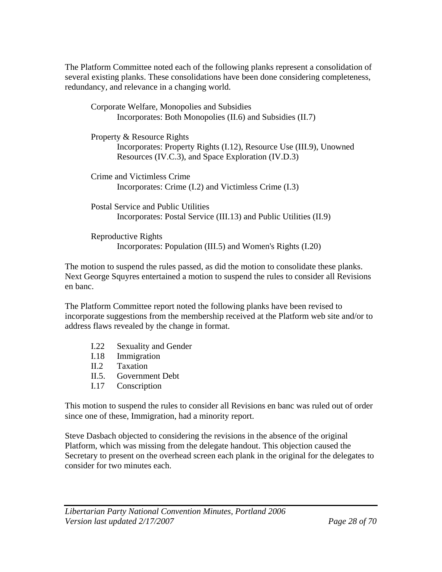The Platform Committee noted each of the following planks represent a consolidation of several existing planks. These consolidations have been done considering completeness, redundancy, and relevance in a changing world.

| Corporate Welfare, Monopolies and Subsidies                         |
|---------------------------------------------------------------------|
| Incorporates: Both Monopolies (II.6) and Subsidies (II.7)           |
|                                                                     |
| Property & Resource Rights                                          |
| Incorporates: Property Rights (I.12), Resource Use (III.9), Unowned |
| Resources (IV.C.3), and Space Exploration (IV.D.3)                  |
| Crime and Victimless Crime                                          |
| Incorporates: Crime (I.2) and Victimless Crime (I.3)                |
| Postal Service and Public Utilities                                 |
| Incorporates: Postal Service (III.13) and Public Utilities (II.9)   |
| Reproductive Rights                                                 |
| Incorporates: Population (III.5) and Women's Rights (I.20)          |

The motion to suspend the rules passed, as did the motion to consolidate these planks. Next George Squyres entertained a motion to suspend the rules to consider all Revisions en banc.

The Platform Committee report noted the following planks have been revised to incorporate suggestions from the membership received at the Platform web site and/or to address flaws revealed by the change in format.

- I.22 Sexuality and Gender
- I.18 Immigration
- II.2 Taxation
- II.5. Government Debt
- I.17 Conscription

This motion to suspend the rules to consider all Revisions en banc was ruled out of order since one of these, Immigration, had a minority report.

Steve Dasbach objected to considering the revisions in the absence of the original Platform, which was missing from the delegate handout. This objection caused the Secretary to present on the overhead screen each plank in the original for the delegates to consider for two minutes each.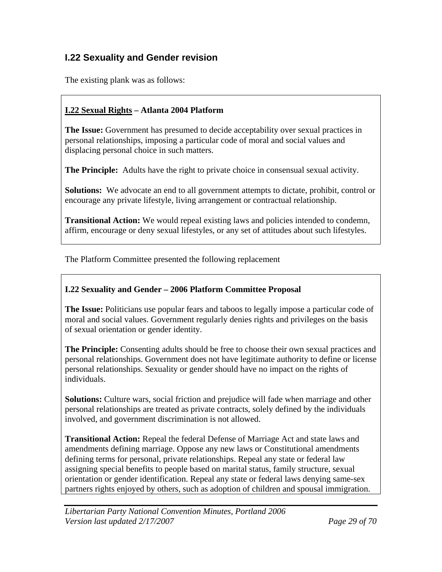### **I.22 Sexuality and Gender revision**

The existing plank was as follows:

#### **I.22 Sexual Rights – Atlanta 2004 Platform**

**The Issue:** Government has presumed to decide acceptability over sexual practices in personal relationships, imposing a particular code of moral and social values and displacing personal choice in such matters.

**The Principle:** Adults have the right to private choice in consensual sexual activity.

**Solutions:** We advocate an end to all government attempts to dictate, prohibit, control or encourage any private lifestyle, living arrangement or contractual relationship.

**Transitional Action:** We would repeal existing laws and policies intended to condemn, affirm, encourage or deny sexual lifestyles, or any set of attitudes about such lifestyles.

The Platform Committee presented the following replacement

#### **I.22 Sexuality and Gender – 2006 Platform Committee Proposal**

**The Issue:** Politicians use popular fears and taboos to legally impose a particular code of moral and social values. Government regularly denies rights and privileges on the basis of sexual orientation or gender identity.

**The Principle:** Consenting adults should be free to choose their own sexual practices and personal relationships. Government does not have legitimate authority to define or license personal relationships. Sexuality or gender should have no impact on the rights of individuals.

**Solutions:** Culture wars, social friction and prejudice will fade when marriage and other personal relationships are treated as private contracts, solely defined by the individuals involved, and government discrimination is not allowed.

**Transitional Action:** Repeal the federal Defense of Marriage Act and state laws and amendments defining marriage. Oppose any new laws or Constitutional amendments defining terms for personal, private relationships. Repeal any state or federal law assigning special benefits to people based on marital status, family structure, sexual orientation or gender identification. Repeal any state or federal laws denying same-sex partners rights enjoyed by others, such as adoption of children and spousal immigration.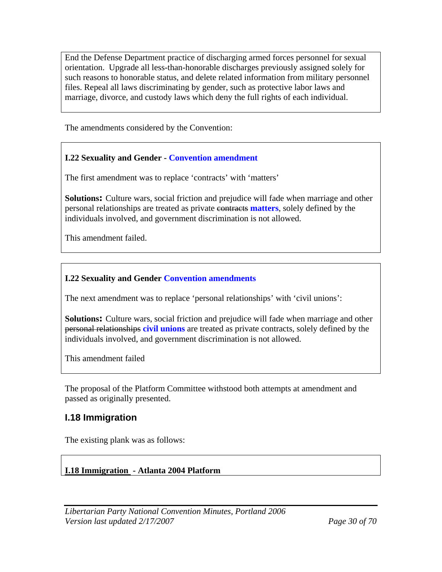End the Defense Department practice of discharging armed forces personnel for sexual orientation. Upgrade all less-than-honorable discharges previously assigned solely for such reasons to honorable status, and delete related information from military personnel files. Repeal all laws discriminating by gender, such as protective labor laws and marriage, divorce, and custody laws which deny the full rights of each individual.

The amendments considered by the Convention:

#### **I.22 Sexuality and Gender - Convention amendment**

The first amendment was to replace 'contracts' with 'matters'

**Solutions:** Culture wars, social friction and prejudice will fade when marriage and other personal relationships are treated as private contracts **matters**, solely defined by the individuals involved, and government discrimination is not allowed.

This amendment failed.

#### **I.22 Sexuality and Gender Convention amendments**

The next amendment was to replace 'personal relationships' with 'civil unions':

**Solutions:** Culture wars, social friction and prejudice will fade when marriage and other personal relationships **civil unions** are treated as private contracts, solely defined by the individuals involved, and government discrimination is not allowed.

This amendment failed

The proposal of the Platform Committee withstood both attempts at amendment and passed as originally presented.

### **I.18 Immigration**

The existing plank was as follows:

#### **I.18 Immigration - Atlanta 2004 Platform**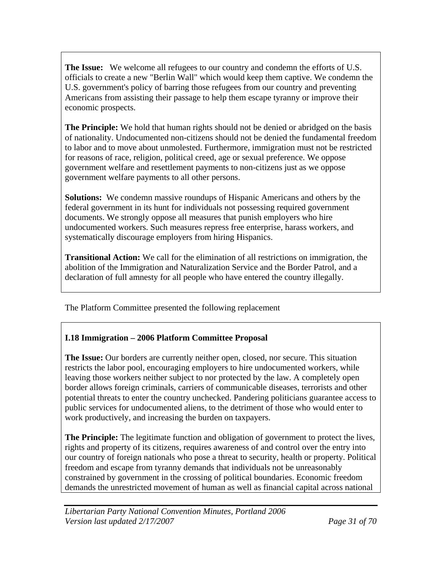**The Issue:** We welcome all refugees to our country and condemn the efforts of U.S. officials to create a new "Berlin Wall" which would keep them captive. We condemn the U.S. government's policy of barring those refugees from our country and preventing Americans from assisting their passage to help them escape tyranny or improve their economic prospects.

**The Principle:** We hold that human rights should not be denied or abridged on the basis of nationality. Undocumented non-citizens should not be denied the fundamental freedom to labor and to move about unmolested. Furthermore, immigration must not be restricted for reasons of race, religion, political creed, age or sexual preference. We oppose government welfare and resettlement payments to non-citizens just as we oppose government welfare payments to all other persons.

**Solutions:** We condemn massive roundups of Hispanic Americans and others by the federal government in its hunt for individuals not possessing required government documents. We strongly oppose all measures that punish employers who hire undocumented workers. Such measures repress free enterprise, harass workers, and systematically discourage employers from hiring Hispanics.

**Transitional Action:** We call for the elimination of all restrictions on immigration, the abolition of the Immigration and Naturalization Service and the Border Patrol, and a declaration of full amnesty for all people who have entered the country illegally.

The Platform Committee presented the following replacement

### **I.18 Immigration – 2006 Platform Committee Proposal**

**The Issue:** Our borders are currently neither open, closed, nor secure. This situation restricts the labor pool, encouraging employers to hire undocumented workers, while leaving those workers neither subject to nor protected by the law. A completely open border allows foreign criminals, carriers of communicable diseases, terrorists and other potential threats to enter the country unchecked. Pandering politicians guarantee access to public services for undocumented aliens, to the detriment of those who would enter to work productively, and increasing the burden on taxpayers.

**The Principle:** The legitimate function and obligation of government to protect the lives, rights and property of its citizens, requires awareness of and control over the entry into our country of foreign nationals who pose a threat to security, health or property. Political freedom and escape from tyranny demands that individuals not be unreasonably constrained by government in the crossing of political boundaries. Economic freedom demands the unrestricted movement of human as well as financial capital across national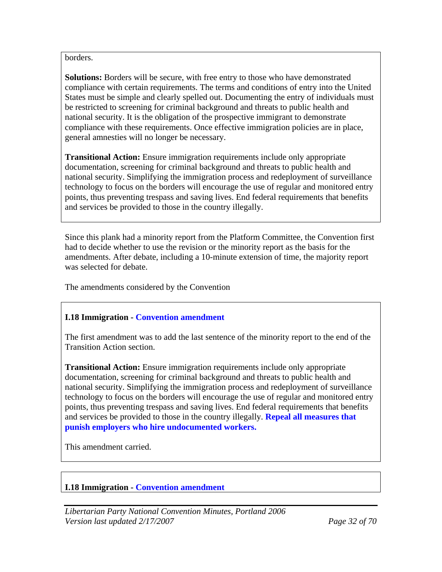#### borders.

**Solutions:** Borders will be secure, with free entry to those who have demonstrated compliance with certain requirements. The terms and conditions of entry into the United States must be simple and clearly spelled out. Documenting the entry of individuals must be restricted to screening for criminal background and threats to public health and national security. It is the obligation of the prospective immigrant to demonstrate compliance with these requirements. Once effective immigration policies are in place, general amnesties will no longer be necessary.

**Transitional Action:** Ensure immigration requirements include only appropriate documentation, screening for criminal background and threats to public health and national security. Simplifying the immigration process and redeployment of surveillance technology to focus on the borders will encourage the use of regular and monitored entry points, thus preventing trespass and saving lives. End federal requirements that benefits and services be provided to those in the country illegally.

Since this plank had a minority report from the Platform Committee, the Convention first had to decide whether to use the revision or the minority report as the basis for the amendments. After debate, including a 10-minute extension of time, the majority report was selected for debate.

The amendments considered by the Convention

#### **I.18 Immigration - Convention amendment**

The first amendment was to add the last sentence of the minority report to the end of the Transition Action section.

**Transitional Action:** Ensure immigration requirements include only appropriate documentation, screening for criminal background and threats to public health and national security. Simplifying the immigration process and redeployment of surveillance technology to focus on the borders will encourage the use of regular and monitored entry points, thus preventing trespass and saving lives. End federal requirements that benefits and services be provided to those in the country illegally. **Repeal all measures that punish employers who hire undocumented workers.** 

This amendment carried.

#### **I.18 Immigration - Convention amendment**

*Libertarian Party National Convention Minutes, Portland 2006 Version last updated 2/17/2007 Page 32 of 70*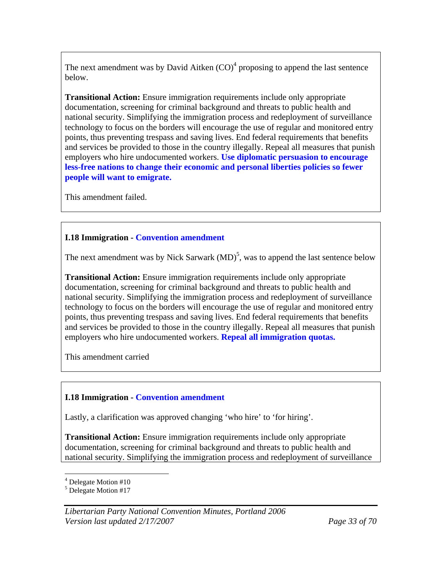The next amendment was by David Aitken  $(CO)^4$  proposing to append the last sentence below.

**Transitional Action:** Ensure immigration requirements include only appropriate documentation, screening for criminal background and threats to public health and national security. Simplifying the immigration process and redeployment of surveillance technology to focus on the borders will encourage the use of regular and monitored entry points, thus preventing trespass and saving lives. End federal requirements that benefits and services be provided to those in the country illegally. Repeal all measures that punish employers who hire undocumented workers. **Use diplomatic persuasion to encourage less-free nations to change their economic and personal liberties policies so fewer people will want to emigrate.**

This amendment failed.

#### **I.18 Immigration - Convention amendment**

The next amendment was by Nick Sarwark  $(MD)^5$ , was to append the last sentence below

**Transitional Action:** Ensure immigration requirements include only appropriate documentation, screening for criminal background and threats to public health and national security. Simplifying the immigration process and redeployment of surveillance technology to focus on the borders will encourage the use of regular and monitored entry points, thus preventing trespass and saving lives. End federal requirements that benefits and services be provided to those in the country illegally. Repeal all measures that punish employers who hire undocumented workers. **Repeal all immigration quotas.** 

This amendment carried

#### **I.18 Immigration - Convention amendment**

Lastly, a clarification was approved changing 'who hire' to 'for hiring'.

**Transitional Action:** Ensure immigration requirements include only appropriate documentation, screening for criminal background and threats to public health and national security. Simplifying the immigration process and redeployment of surveillance

 $\overline{a}$ <sup>4</sup> Delegate Motion #10

<sup>&</sup>lt;sup>5</sup> Delegate Motion #17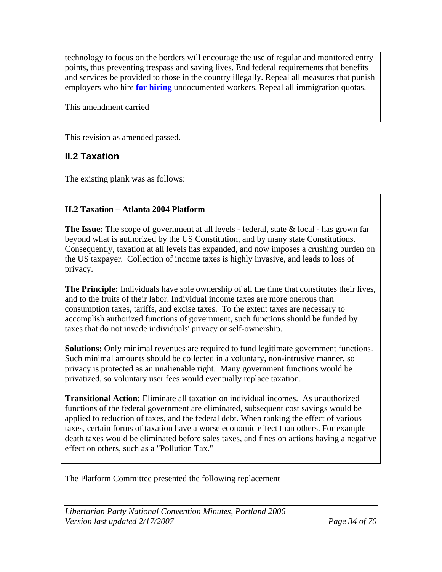technology to focus on the borders will encourage the use of regular and monitored entry points, thus preventing trespass and saving lives. End federal requirements that benefits and services be provided to those in the country illegally. Repeal all measures that punish employers who hire **for hiring** undocumented workers. Repeal all immigration quotas.

This amendment carried

This revision as amended passed.

### **II.2 Taxation**

The existing plank was as follows:

#### **II.2 Taxation – Atlanta 2004 Platform**

**The Issue:** The scope of government at all levels - federal, state & local - has grown far beyond what is authorized by the US Constitution, and by many state Constitutions. Consequently, taxation at all levels has expanded, and now imposes a crushing burden on the US taxpayer. Collection of income taxes is highly invasive, and leads to loss of privacy.

**The Principle:** Individuals have sole ownership of all the time that constitutes their lives, and to the fruits of their labor. Individual income taxes are more onerous than consumption taxes, tariffs, and excise taxes. To the extent taxes are necessary to accomplish authorized functions of government, such functions should be funded by taxes that do not invade individuals' privacy or self-ownership.

**Solutions:** Only minimal revenues are required to fund legitimate government functions. Such minimal amounts should be collected in a voluntary, non-intrusive manner, so privacy is protected as an unalienable right. Many government functions would be privatized, so voluntary user fees would eventually replace taxation.

**Transitional Action:** Eliminate all taxation on individual incomes. As unauthorized functions of the federal government are eliminated, subsequent cost savings would be applied to reduction of taxes, and the federal debt. When ranking the effect of various taxes, certain forms of taxation have a worse economic effect than others. For example death taxes would be eliminated before sales taxes, and fines on actions having a negative effect on others, such as a "Pollution Tax."

The Platform Committee presented the following replacement

*Libertarian Party National Convention Minutes, Portland 2006 Version last updated 2/17/2007 Page 34 of 70*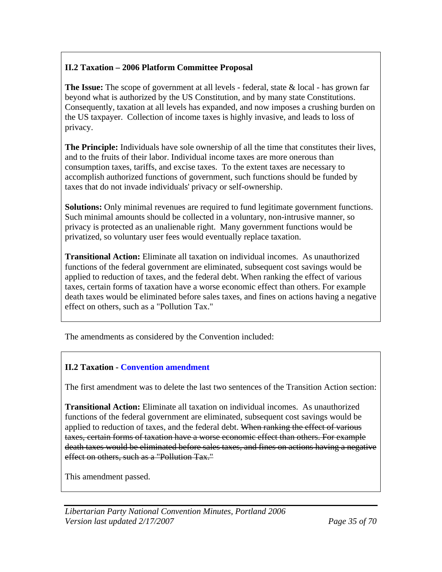### **II.2 Taxation – 2006 Platform Committee Proposal**

**The Issue:** The scope of government at all levels - federal, state & local - has grown far beyond what is authorized by the US Constitution, and by many state Constitutions. Consequently, taxation at all levels has expanded, and now imposes a crushing burden on the US taxpayer. Collection of income taxes is highly invasive, and leads to loss of privacy.

**The Principle:** Individuals have sole ownership of all the time that constitutes their lives, and to the fruits of their labor. Individual income taxes are more onerous than consumption taxes, tariffs, and excise taxes. To the extent taxes are necessary to accomplish authorized functions of government, such functions should be funded by taxes that do not invade individuals' privacy or self-ownership.

**Solutions:** Only minimal revenues are required to fund legitimate government functions. Such minimal amounts should be collected in a voluntary, non-intrusive manner, so privacy is protected as an unalienable right. Many government functions would be privatized, so voluntary user fees would eventually replace taxation.

**Transitional Action:** Eliminate all taxation on individual incomes. As unauthorized functions of the federal government are eliminated, subsequent cost savings would be applied to reduction of taxes, and the federal debt. When ranking the effect of various taxes, certain forms of taxation have a worse economic effect than others. For example death taxes would be eliminated before sales taxes, and fines on actions having a negative effect on others, such as a "Pollution Tax."

The amendments as considered by the Convention included:

#### **II.2 Taxation - Convention amendment**

The first amendment was to delete the last two sentences of the Transition Action section:

**Transitional Action:** Eliminate all taxation on individual incomes. As unauthorized functions of the federal government are eliminated, subsequent cost savings would be applied to reduction of taxes, and the federal debt. When ranking the effect of various taxes, certain forms of taxation have a worse economic effect than others. For example death taxes would be eliminated before sales taxes, and fines on actions having a negative effect on others, such as a "Pollution Tax."

This amendment passed.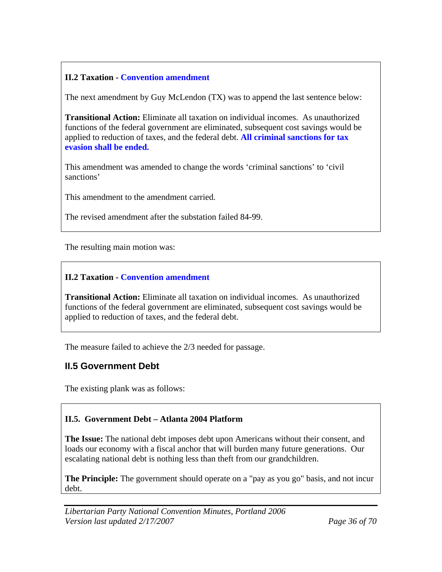### **II.2 Taxation - Convention amendment**

The next amendment by Guy McLendon (TX) was to append the last sentence below:

**Transitional Action:** Eliminate all taxation on individual incomes. As unauthorized functions of the federal government are eliminated, subsequent cost savings would be applied to reduction of taxes, and the federal debt. **All criminal sanctions for tax evasion shall be ended.** 

This amendment was amended to change the words 'criminal sanctions' to 'civil sanctions'

This amendment to the amendment carried.

The revised amendment after the substation failed 84-99.

The resulting main motion was:

#### **II.2 Taxation - Convention amendment**

**Transitional Action:** Eliminate all taxation on individual incomes. As unauthorized functions of the federal government are eliminated, subsequent cost savings would be applied to reduction of taxes, and the federal debt.

The measure failed to achieve the 2/3 needed for passage.

### **II.5 Government Debt**

The existing plank was as follows:

#### **II.5. Government Debt – Atlanta 2004 Platform**

**The Issue:** The national debt imposes debt upon Americans without their consent, and loads our economy with a fiscal anchor that will burden many future generations. Our escalating national debt is nothing less than theft from our grandchildren.

**The Principle:** The government should operate on a "pay as you go" basis, and not incur debt.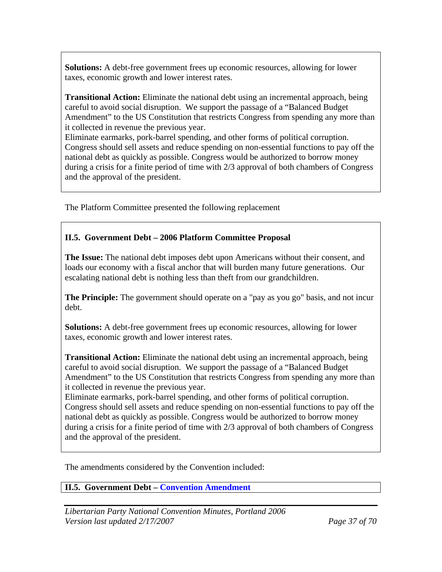**Solutions:** A debt-free government frees up economic resources, allowing for lower taxes, economic growth and lower interest rates.

**Transitional Action:** Eliminate the national debt using an incremental approach, being careful to avoid social disruption. We support the passage of a "Balanced Budget Amendment" to the US Constitution that restricts Congress from spending any more than it collected in revenue the previous year.

Eliminate earmarks, pork-barrel spending, and other forms of political corruption. Congress should sell assets and reduce spending on non-essential functions to pay off the national debt as quickly as possible. Congress would be authorized to borrow money during a crisis for a finite period of time with 2/3 approval of both chambers of Congress and the approval of the president.

The Platform Committee presented the following replacement

#### **II.5. Government Debt – 2006 Platform Committee Proposal**

**The Issue:** The national debt imposes debt upon Americans without their consent, and loads our economy with a fiscal anchor that will burden many future generations. Our escalating national debt is nothing less than theft from our grandchildren.

**The Principle:** The government should operate on a "pay as you go" basis, and not incur debt.

**Solutions:** A debt-free government frees up economic resources, allowing for lower taxes, economic growth and lower interest rates.

**Transitional Action:** Eliminate the national debt using an incremental approach, being careful to avoid social disruption. We support the passage of a "Balanced Budget Amendment" to the US Constitution that restricts Congress from spending any more than it collected in revenue the previous year.

Eliminate earmarks, pork-barrel spending, and other forms of political corruption. Congress should sell assets and reduce spending on non-essential functions to pay off the national debt as quickly as possible. Congress would be authorized to borrow money during a crisis for a finite period of time with 2/3 approval of both chambers of Congress and the approval of the president.

The amendments considered by the Convention included:

**II.5. Government Debt – Convention Amendment**

*Libertarian Party National Convention Minutes, Portland 2006 Version last updated 2/17/2007 Page 37 of 70*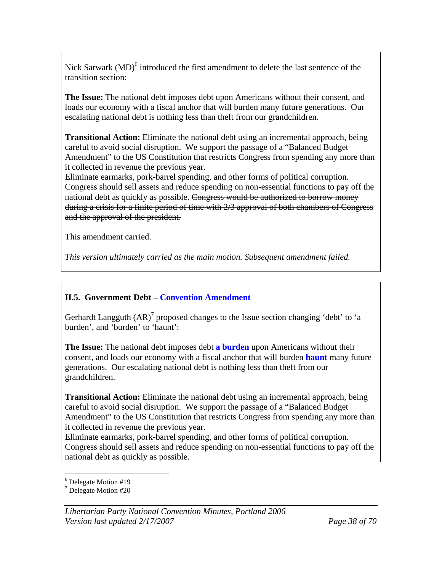Nick Sarwark  $(MD)^6$  introduced the first amendment to delete the last sentence of the transition section:

**The Issue:** The national debt imposes debt upon Americans without their consent, and loads our economy with a fiscal anchor that will burden many future generations. Our escalating national debt is nothing less than theft from our grandchildren.

**Transitional Action:** Eliminate the national debt using an incremental approach, being careful to avoid social disruption. We support the passage of a "Balanced Budget Amendment" to the US Constitution that restricts Congress from spending any more than it collected in revenue the previous year.

Eliminate earmarks, pork-barrel spending, and other forms of political corruption. Congress should sell assets and reduce spending on non-essential functions to pay off the national debt as quickly as possible. Congress would be authorized to borrow money during a crisis for a finite period of time with 2/3 approval of both chambers of Congress and the approval of the president.

This amendment carried.

*This version ultimately carried as the main motion. Subsequent amendment failed.* 

#### **II.5. Government Debt – Convention Amendment**

Gerhardt Langguth  $(AR)^7$  proposed changes to the Issue section changing 'debt' to 'a burden', and 'burden' to 'haunt':

**The Issue:** The national debt imposes debt **a burden** upon Americans without their consent, and loads our economy with a fiscal anchor that will burden **haunt** many future generations. Our escalating national debt is nothing less than theft from our grandchildren.

**Transitional Action:** Eliminate the national debt using an incremental approach, being careful to avoid social disruption. We support the passage of a "Balanced Budget Amendment" to the US Constitution that restricts Congress from spending any more than it collected in revenue the previous year.

Eliminate earmarks, pork-barrel spending, and other forms of political corruption. Congress should sell assets and reduce spending on non-essential functions to pay off the national debt as quickly as possible.

 $\overline{a}$ 6 Delegate Motion #19

<sup>7</sup> Delegate Motion #20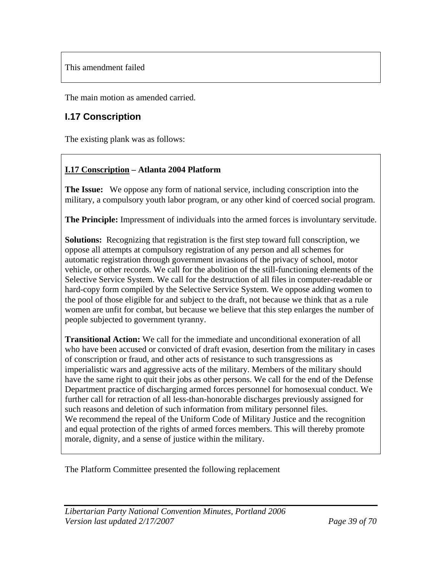This amendment failed

The main motion as amended carried.

### **I.17 Conscription**

The existing plank was as follows:

#### **I.17 Conscription – Atlanta 2004 Platform**

**The Issue:** We oppose any form of national service, including conscription into the military, a compulsory youth labor program, or any other kind of coerced social program.

**The Principle:** Impressment of individuals into the armed forces is involuntary servitude.

**Solutions:** Recognizing that registration is the first step toward full conscription, we oppose all attempts at compulsory registration of any person and all schemes for automatic registration through government invasions of the privacy of school, motor vehicle, or other records. We call for the abolition of the still-functioning elements of the Selective Service System. We call for the destruction of all files in computer-readable or hard-copy form compiled by the Selective Service System. We oppose adding women to the pool of those eligible for and subject to the draft, not because we think that as a rule women are unfit for combat, but because we believe that this step enlarges the number of people subjected to government tyranny.

**Transitional Action:** We call for the immediate and unconditional exoneration of all who have been accused or convicted of draft evasion, desertion from the military in cases of conscription or fraud, and other acts of resistance to such transgressions as imperialistic wars and aggressive acts of the military. Members of the military should have the same right to quit their jobs as other persons. We call for the end of the Defense Department practice of discharging armed forces personnel for homosexual conduct. We further call for retraction of all less-than-honorable discharges previously assigned for such reasons and deletion of such information from military personnel files. We recommend the repeal of the Uniform Code of Military Justice and the recognition and equal protection of the rights of armed forces members. This will thereby promote morale, dignity, and a sense of justice within the military.

The Platform Committee presented the following replacement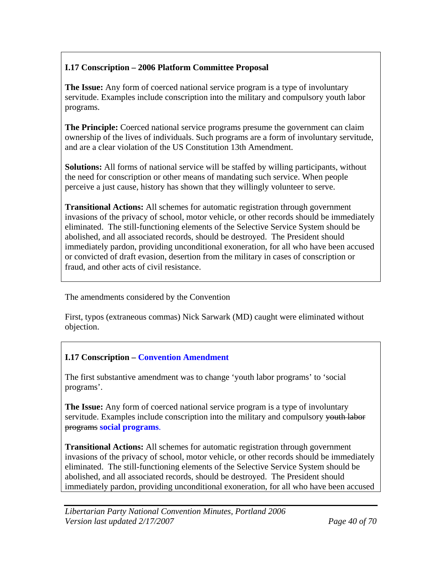### **I.17 Conscription – 2006 Platform Committee Proposal**

**The Issue:** Any form of coerced national service program is a type of involuntary servitude. Examples include conscription into the military and compulsory youth labor programs.

**The Principle:** Coerced national service programs presume the government can claim ownership of the lives of individuals. Such programs are a form of involuntary servitude, and are a clear violation of the US Constitution 13th Amendment.

**Solutions:** All forms of national service will be staffed by willing participants, without the need for conscription or other means of mandating such service. When people perceive a just cause, history has shown that they willingly volunteer to serve.

**Transitional Actions:** All schemes for automatic registration through government invasions of the privacy of school, motor vehicle, or other records should be immediately eliminated. The still-functioning elements of the Selective Service System should be abolished, and all associated records, should be destroyed. The President should immediately pardon, providing unconditional exoneration, for all who have been accused or convicted of draft evasion, desertion from the military in cases of conscription or fraud, and other acts of civil resistance.

The amendments considered by the Convention

First, typos (extraneous commas) Nick Sarwark (MD) caught were eliminated without objection.

### **I.17 Conscription – Convention Amendment**

The first substantive amendment was to change 'youth labor programs' to 'social programs'.

**The Issue:** Any form of coerced national service program is a type of involuntary servitude. Examples include conscription into the military and compulsory youth labor programs **social programs**.

**Transitional Actions:** All schemes for automatic registration through government invasions of the privacy of school, motor vehicle, or other records should be immediately eliminated. The still-functioning elements of the Selective Service System should be abolished, and all associated records, should be destroyed. The President should immediately pardon, providing unconditional exoneration, for all who have been accused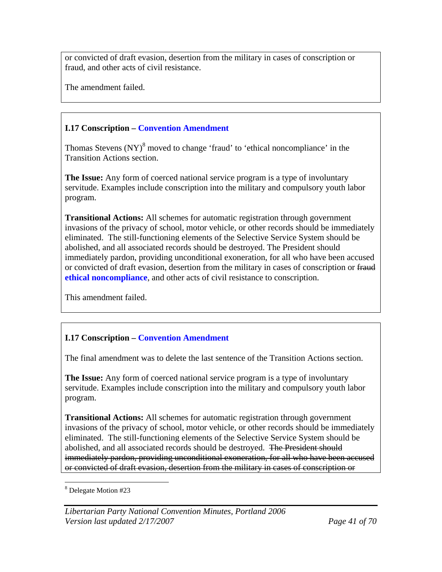or convicted of draft evasion, desertion from the military in cases of conscription or fraud, and other acts of civil resistance.

The amendment failed.

#### **I.17 Conscription – Convention Amendment**

Thomas Stevens  $(NY)^8$  moved to change 'fraud' to 'ethical noncompliance' in the Transition Actions section.

**The Issue:** Any form of coerced national service program is a type of involuntary servitude. Examples include conscription into the military and compulsory youth labor program.

**Transitional Actions:** All schemes for automatic registration through government invasions of the privacy of school, motor vehicle, or other records should be immediately eliminated. The still-functioning elements of the Selective Service System should be abolished, and all associated records should be destroyed. The President should immediately pardon, providing unconditional exoneration, for all who have been accused or convicted of draft evasion, desertion from the military in cases of conscription or fraud **ethical noncompliance**, and other acts of civil resistance to conscription.

This amendment failed.

### **I.17 Conscription – Convention Amendment**

The final amendment was to delete the last sentence of the Transition Actions section.

**The Issue:** Any form of coerced national service program is a type of involuntary servitude. Examples include conscription into the military and compulsory youth labor program.

**Transitional Actions:** All schemes for automatic registration through government invasions of the privacy of school, motor vehicle, or other records should be immediately eliminated. The still-functioning elements of the Selective Service System should be abolished, and all associated records should be destroyed. The President should immediately pardon, providing unconditional exoneration, for all who have been accused or convicted of draft evasion, desertion from the military in cases of conscription or

 $\overline{a}$ 8 Delegate Motion #23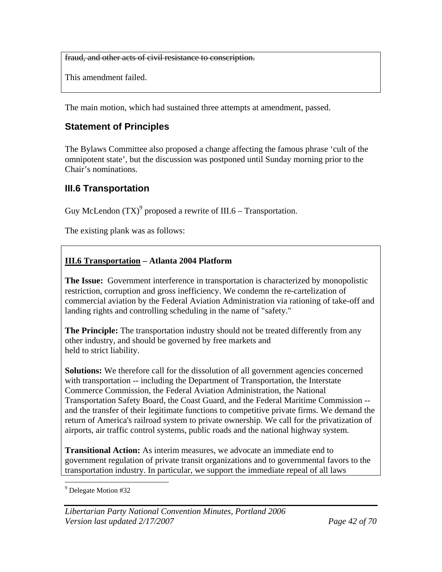fraud, and other acts of civil resistance to conscription.

This amendment failed.

The main motion, which had sustained three attempts at amendment, passed.

### **Statement of Principles**

The Bylaws Committee also proposed a change affecting the famous phrase 'cult of the omnipotent state', but the discussion was postponed until Sunday morning prior to the Chair's nominations.

### **III.6 Transportation**

Guy McLendon  $(TX)^9$  proposed a rewrite of III.6 – Transportation.

The existing plank was as follows:

#### **III.6 Transportation – Atlanta 2004 Platform**

**The Issue:** Government interference in transportation is characterized by monopolistic restriction, corruption and gross inefficiency. We condemn the re-cartelization of commercial aviation by the Federal Aviation Administration via rationing of take-off and landing rights and controlling scheduling in the name of "safety."

**The Principle:** The transportation industry should not be treated differently from any other industry, and should be governed by free markets and held to strict liability.

**Solutions:** We therefore call for the dissolution of all government agencies concerned with transportation -- including the Department of Transportation, the Interstate Commerce Commission, the Federal Aviation Administration, the National Transportation Safety Board, the Coast Guard, and the Federal Maritime Commission - and the transfer of their legitimate functions to competitive private firms. We demand the return of America's railroad system to private ownership. We call for the privatization of airports, air traffic control systems, public roads and the national highway system.

**Transitional Action:** As interim measures, we advocate an immediate end to government regulation of private transit organizations and to governmental favors to the transportation industry. In particular, we support the immediate repeal of all laws

 $\overline{a}$ <sup>9</sup> Delegate Motion #32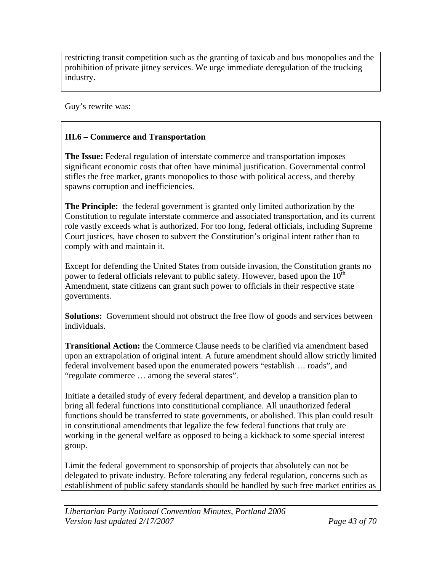restricting transit competition such as the granting of taxicab and bus monopolies and the prohibition of private jitney services. We urge immediate deregulation of the trucking industry.

Guy's rewrite was:

#### **III.6 – Commerce and Transportation**

**The Issue:** Federal regulation of interstate commerce and transportation imposes significant economic costs that often have minimal justification. Governmental control stifles the free market, grants monopolies to those with political access, and thereby spawns corruption and inefficiencies.

**The Principle:** the federal government is granted only limited authorization by the Constitution to regulate interstate commerce and associated transportation, and its current role vastly exceeds what is authorized. For too long, federal officials, including Supreme Court justices, have chosen to subvert the Constitution's original intent rather than to comply with and maintain it.

Except for defending the United States from outside invasion, the Constitution grants no power to federal officials relevant to public safety. However, based upon the  $10<sup>th</sup>$ Amendment, state citizens can grant such power to officials in their respective state governments.

**Solutions:** Government should not obstruct the free flow of goods and services between individuals.

**Transitional Action:** the Commerce Clause needs to be clarified via amendment based upon an extrapolation of original intent. A future amendment should allow strictly limited federal involvement based upon the enumerated powers "establish … roads", and "regulate commerce … among the several states".

Initiate a detailed study of every federal department, and develop a transition plan to bring all federal functions into constitutional compliance. All unauthorized federal functions should be transferred to state governments, or abolished. This plan could result in constitutional amendments that legalize the few federal functions that truly are working in the general welfare as opposed to being a kickback to some special interest group.

Limit the federal government to sponsorship of projects that absolutely can not be delegated to private industry. Before tolerating any federal regulation, concerns such as establishment of public safety standards should be handled by such free market entities as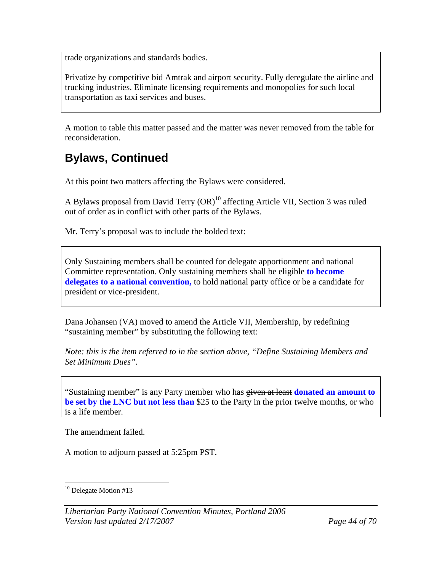trade organizations and standards bodies.

Privatize by competitive bid Amtrak and airport security. Fully deregulate the airline and trucking industries. Eliminate licensing requirements and monopolies for such local transportation as taxi services and buses.

A motion to table this matter passed and the matter was never removed from the table for reconsideration.

# **Bylaws, Continued**

At this point two matters affecting the Bylaws were considered.

A Bylaws proposal from David Terry  $(OR)^{10}$  affecting Article VII, Section 3 was ruled out of order as in conflict with other parts of the Bylaws.

Mr. Terry's proposal was to include the bolded text:

Only Sustaining members shall be counted for delegate apportionment and national Committee representation. Only sustaining members shall be eligible **to become delegates to a national convention,** to hold national party office or be a candidate for president or vice-president.

Dana Johansen (VA) moved to amend the Article VII, Membership, by redefining "sustaining member" by substituting the following text:

*Note: this is the item referred to in the section above, "Define Sustaining Members and Set Minimum Dues".* 

"Sustaining member" is any Party member who has given at least **donated an amount to be set by the LNC but not less than** \$25 to the Party in the prior twelve months, or who is a life member.

The amendment failed.

A motion to adjourn passed at 5:25pm PST.

 $\overline{a}$  $10$  Delegate Motion #13

*Libertarian Party National Convention Minutes, Portland 2006 Version last updated 2/17/2007 Page 44 of 70*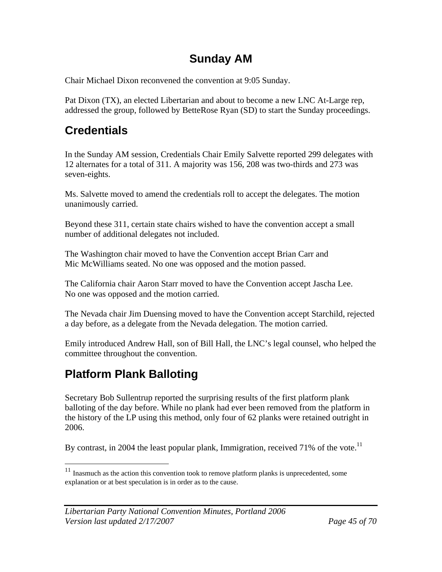# **Sunday AM**

Chair Michael Dixon reconvened the convention at 9:05 Sunday.

Pat Dixon (TX), an elected Libertarian and about to become a new LNC At-Large rep, addressed the group, followed by BetteRose Ryan (SD) to start the Sunday proceedings.

# **Credentials**

In the Sunday AM session, Credentials Chair Emily Salvette reported 299 delegates with 12 alternates for a total of 311. A majority was 156, 208 was two-thirds and 273 was seven-eights.

Ms. Salvette moved to amend the credentials roll to accept the delegates. The motion unanimously carried.

Beyond these 311, certain state chairs wished to have the convention accept a small number of additional delegates not included.

The Washington chair moved to have the Convention accept Brian Carr and Mic McWilliams seated. No one was opposed and the motion passed.

The California chair Aaron Starr moved to have the Convention accept Jascha Lee. No one was opposed and the motion carried.

The Nevada chair Jim Duensing moved to have the Convention accept Starchild, rejected a day before, as a delegate from the Nevada delegation. The motion carried.

Emily introduced Andrew Hall, son of Bill Hall, the LNC's legal counsel, who helped the committee throughout the convention.

# **Platform Plank Balloting**

<u>.</u>

Secretary Bob Sullentrup reported the surprising results of the first platform plank balloting of the day before. While no plank had ever been removed from the platform in the history of the LP using this method, only four of 62 planks were retained outright in 2006.

By contrast, in 2004 the least popular plank, Immigration, received 71% of the vote.<sup>11</sup>

 $11$  Inasmuch as the action this convention took to remove platform planks is unprecedented, some explanation or at best speculation is in order as to the cause.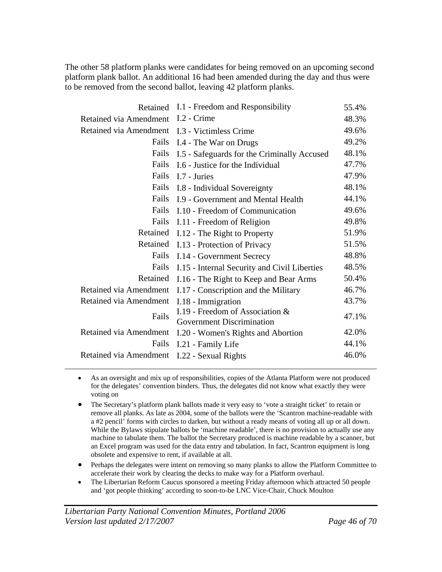The other 58 platform planks were candidates for being removed on an upcoming second platform plank ballot. An additional 16 had been amended during the day and thus were to be removed from the second ballot, leaving 42 platform planks.

| Retained                      | I.1 - Freedom and Responsibility                                    | 55.4% |
|-------------------------------|---------------------------------------------------------------------|-------|
| Retained via Amendment        | I.2 - Crime                                                         | 48.3% |
| <b>Retained via Amendment</b> | I.3 - Victimless Crime                                              | 49.6% |
| Fails                         | I.4 - The War on Drugs                                              | 49.2% |
| Fails                         | I.5 - Safeguards for the Criminally Accused                         | 48.1% |
| Fails                         | I.6 - Justice for the Individual                                    | 47.7% |
| Fails                         | I.7 - Juries                                                        | 47.9% |
| Fails                         | I.8 - Individual Sovereignty                                        | 48.1% |
| Fails                         | I.9 - Government and Mental Health                                  | 44.1% |
| Fails                         | I.10 - Freedom of Communication                                     | 49.6% |
| Fails                         | I.11 - Freedom of Religion                                          | 49.8% |
| Retained                      | I.12 - The Right to Property                                        | 51.9% |
| Retained                      | I.13 - Protection of Privacy                                        | 51.5% |
| Fails                         | I.14 - Government Secrecy                                           | 48.8% |
| Fails                         | I.15 - Internal Security and Civil Liberties                        | 48.5% |
| Retained                      | I.16 - The Right to Keep and Bear Arms                              | 50.4% |
| Retained via Amendment        | I.17 - Conscription and the Military                                | 46.7% |
| <b>Retained via Amendment</b> | I.18 - Immigration                                                  | 43.7% |
| Fails                         | I.19 - Freedom of Association &<br><b>Government Discrimination</b> | 47.1% |
| Retained via Amendment        | I.20 - Women's Rights and Abortion                                  | 42.0% |
| Fails                         | I.21 - Family Life                                                  | 44.1% |
| Retained via Amendment        | I.22 - Sexual Rights                                                | 46.0% |

- As an oversight and mix up of responsibilities, copies of the Atlanta Platform were not produced for the delegates' convention binders. Thus, the delegates did not know what exactly they were voting on
- The Secretary's platform plank ballots made it very easy to 'vote a straight ticket' to retain or remove all planks. As late as 2004, some of the ballots were the 'Scantron machine-readable with a #2 pencil' forms with circles to darken, but without a ready means of voting all up or all down. While the Bylaws stipulate ballots be 'machine readable', there is no provision to actually use any machine to tabulate them. The ballot the Secretary produced is machine readable by a scanner, but an Excel program was used for the data entry and tabulation. In fact, Scantron equipment is long obsolete and expensive to rent, if available at all.
- Perhaps the delegates were intent on removing so many planks to allow the Platform Committee to accelerate their work by clearing the decks to make way for a Platform overhaul.
- The Libertarian Reform Caucus sponsored a meeting Friday afternoon which attracted 50 people and 'got people thinking' according to soon-to-be LNC Vice-Chair, Chuck Moulton

 $\overline{a}$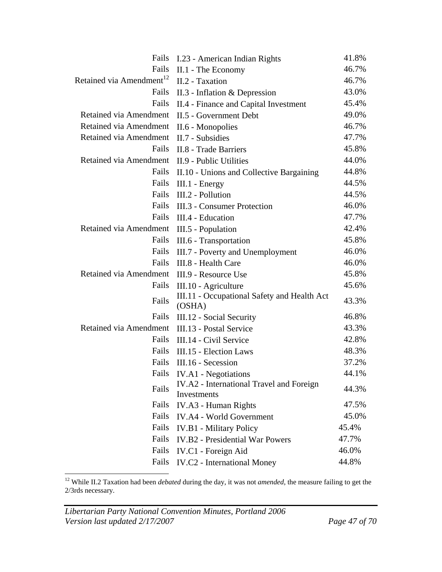| Fails                                | I.23 - American Indian Rights                           | 41.8% |
|--------------------------------------|---------------------------------------------------------|-------|
| Fails                                | II.1 - The Economy                                      | 46.7% |
| Retained via Amendment <sup>12</sup> | II.2 - Taxation                                         | 46.7% |
| Fails                                | $II.3$ - Inflation & Depression                         | 43.0% |
| Fails                                | II.4 - Finance and Capital Investment                   | 45.4% |
| Retained via Amendment               | II.5 - Government Debt                                  | 49.0% |
| Retained via Amendment               | II.6 - Monopolies                                       | 46.7% |
| Retained via Amendment               | II.7 - Subsidies                                        | 47.7% |
| Fails                                | II.8 - Trade Barriers                                   | 45.8% |
| Retained via Amendment               | II.9 - Public Utilities                                 | 44.0% |
| Fails                                | II.10 - Unions and Collective Bargaining                | 44.8% |
| Fails                                | III.1 - Energy                                          | 44.5% |
| Fails                                | III.2 - Pollution                                       | 44.5% |
| Fails                                | III.3 - Consumer Protection                             | 46.0% |
| Fails                                | III.4 - Education                                       | 47.7% |
| Retained via Amendment               | III.5 - Population                                      | 42.4% |
| Fails                                | III.6 - Transportation                                  | 45.8% |
| Fails                                | III.7 - Poverty and Unemployment                        | 46.0% |
| Fails                                | III.8 - Health Care                                     | 46.0% |
| Retained via Amendment               | III.9 - Resource Use                                    | 45.8% |
| Fails                                | III.10 - Agriculture                                    | 45.6% |
| Fails                                | III.11 - Occupational Safety and Health Act<br>(OSHA)   | 43.3% |
| Fails                                | III.12 - Social Security                                | 46.8% |
| Retained via Amendment               | III.13 - Postal Service                                 | 43.3% |
| Fails                                | III.14 - Civil Service                                  | 42.8% |
| Fails                                | III.15 - Election Laws                                  | 48.3% |
| Fails                                | III.16 - Secession                                      | 37.2% |
| Fails                                | <b>IV.A1</b> - Negotiations                             | 44.1% |
| Fails                                | IV.A2 - International Travel and Foreign<br>Investments | 44.3% |
| Fails                                | IV.A3 - Human Rights                                    | 47.5% |
| Fails                                | <b>IV.A4 - World Government</b>                         | 45.0% |
| Fails                                | <b>IV.B1</b> - Military Policy                          | 45.4% |
| Fails                                | <b>IV.B2</b> - Presidential War Powers                  | 47.7% |
| Fails                                | IV.C1 - Foreign Aid                                     | 46.0% |
| Fails                                | <b>IV.C2</b> - International Money                      | 44.8% |

<sup>12</sup> While II.2 Taxation had been *debated* during the day, it was not *amended*, the measure failing to get the 2/3rds necessary.

1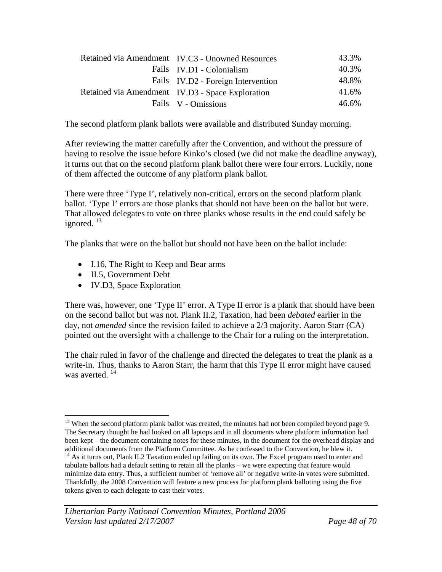| Retained via Amendment IV.C3 - Unowned Resources | 43.3% |
|--------------------------------------------------|-------|
| Fails IV.D1 - Colonialism                        | 40.3% |
| Fails IV.D2 - Foreign Intervention               | 48.8% |
| Retained via Amendment IV.D3 - Space Exploration | 41.6% |
| Fails V - Omissions                              | 46.6% |

The second platform plank ballots were available and distributed Sunday morning.

After reviewing the matter carefully after the Convention, and without the pressure of having to resolve the issue before Kinko's closed (we did not make the deadline anyway), it turns out that on the second platform plank ballot there were four errors. Luckily, none of them affected the outcome of any platform plank ballot.

There were three 'Type I', relatively non-critical, errors on the second platform plank ballot. 'Type I' errors are those planks that should not have been on the ballot but were. That allowed delegates to vote on three planks whose results in the end could safely be ignored.  $^{13}$ 

The planks that were on the ballot but should not have been on the ballot include:

- I.16, The Right to Keep and Bear arms
- II.5, Government Debt
- IV.D3, Space Exploration

There was, however, one 'Type II' error. A Type II error is a plank that should have been on the second ballot but was not. Plank II.2, Taxation, had been *debated* earlier in the day, not *amended* since the revision failed to achieve a 2/3 majority. Aaron Starr (CA) pointed out the oversight with a challenge to the Chair for a ruling on the interpretation.

The chair ruled in favor of the challenge and directed the delegates to treat the plank as a write-in. Thus, thanks to Aaron Starr, the harm that this Type II error might have caused was averted.<sup>14</sup>

<sup>1</sup> <sup>13</sup> When the second platform plank ballot was created, the minutes had not been compiled beyond page 9. The Secretary thought he had looked on all laptops and in all documents where platform information had been kept – the document containing notes for these minutes, in the document for the overhead display and additional documents from the Platform Committee. As he confessed to the Convention, he blew it.

 $14$  As it turns out, Plank II.2 Taxation ended up failing on its own. The Excel program used to enter and tabulate ballots had a default setting to retain all the planks – we were expecting that feature would minimize data entry. Thus, a sufficient number of 'remove all' or negative write-in votes were submitted. Thankfully, the 2008 Convention will feature a new process for platform plank balloting using the five tokens given to each delegate to cast their votes.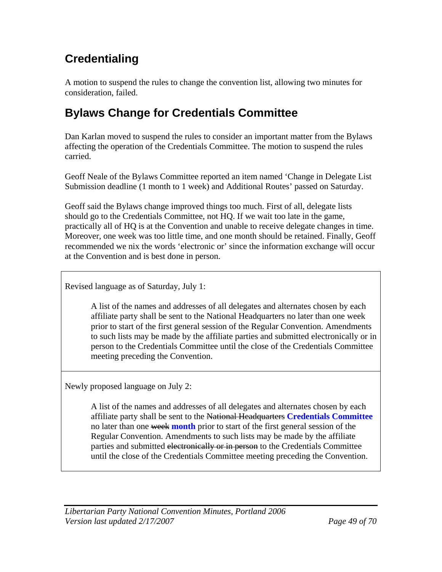# **Credentialing**

A motion to suspend the rules to change the convention list, allowing two minutes for consideration, failed.

# **Bylaws Change for Credentials Committee**

Dan Karlan moved to suspend the rules to consider an important matter from the Bylaws affecting the operation of the Credentials Committee. The motion to suspend the rules carried.

Geoff Neale of the Bylaws Committee reported an item named 'Change in Delegate List Submission deadline (1 month to 1 week) and Additional Routes' passed on Saturday.

Geoff said the Bylaws change improved things too much. First of all, delegate lists should go to the Credentials Committee, not HQ. If we wait too late in the game, practically all of HQ is at the Convention and unable to receive delegate changes in time. Moreover, one week was too little time, and one month should be retained. Finally, Geoff recommended we nix the words 'electronic or' since the information exchange will occur at the Convention and is best done in person.

Revised language as of Saturday, July 1:

A list of the names and addresses of all delegates and alternates chosen by each affiliate party shall be sent to the National Headquarters no later than one week prior to start of the first general session of the Regular Convention. Amendments to such lists may be made by the affiliate parties and submitted electronically or in person to the Credentials Committee until the close of the Credentials Committee meeting preceding the Convention.

Newly proposed language on July 2:

A list of the names and addresses of all delegates and alternates chosen by each affiliate party shall be sent to the National Headquarters **Credentials Committee** no later than one week **month** prior to start of the first general session of the Regular Convention. Amendments to such lists may be made by the affiliate parties and submitted electronically or in person to the Credentials Committee until the close of the Credentials Committee meeting preceding the Convention.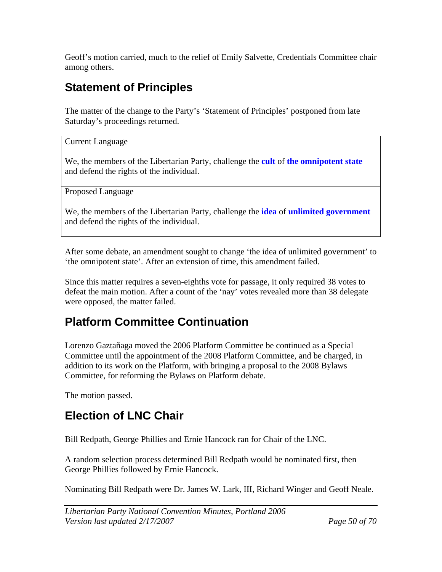Geoff's motion carried, much to the relief of Emily Salvette, Credentials Committee chair among others.

# **Statement of Principles**

The matter of the change to the Party's 'Statement of Principles' postponed from late Saturday's proceedings returned.

Current Language

We, the members of the Libertarian Party, challenge the **cult** of **the omnipotent state** and defend the rights of the individual.

Proposed Language

We, the members of the Libertarian Party, challenge the **idea** of **unlimited government** and defend the rights of the individual.

After some debate, an amendment sought to change 'the idea of unlimited government' to 'the omnipotent state'. After an extension of time, this amendment failed.

Since this matter requires a seven-eighths vote for passage, it only required 38 votes to defeat the main motion. After a count of the 'nay' votes revealed more than 38 delegate were opposed, the matter failed.

# **Platform Committee Continuation**

Lorenzo Gaztañaga moved the 2006 Platform Committee be continued as a Special Committee until the appointment of the 2008 Platform Committee, and be charged, in addition to its work on the Platform, with bringing a proposal to the 2008 Bylaws Committee, for reforming the Bylaws on Platform debate.

The motion passed.

### **Election of LNC Chair**

Bill Redpath, George Phillies and Ernie Hancock ran for Chair of the LNC.

A random selection process determined Bill Redpath would be nominated first, then George Phillies followed by Ernie Hancock.

Nominating Bill Redpath were Dr. James W. Lark, III, Richard Winger and Geoff Neale.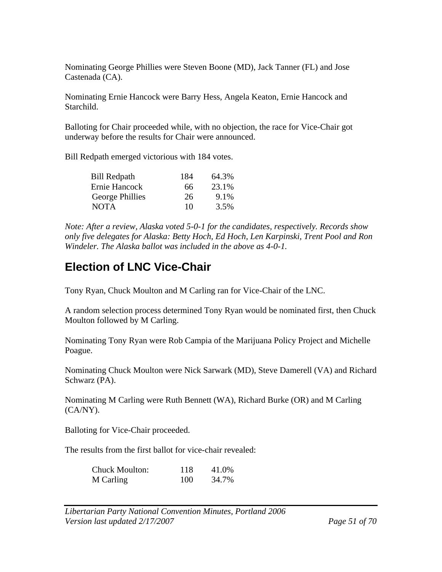Nominating George Phillies were Steven Boone (MD), Jack Tanner (FL) and Jose Castenada (CA).

Nominating Ernie Hancock were Barry Hess, Angela Keaton, Ernie Hancock and Starchild.

Balloting for Chair proceeded while, with no objection, the race for Vice-Chair got underway before the results for Chair were announced.

Bill Redpath emerged victorious with 184 votes.

| <b>Bill Redpath</b> | 184 | 64.3% |
|---------------------|-----|-------|
| Ernie Hancock       | 66  | 23.1% |
| George Phillies     | 26  | 9.1%  |
| <b>NOTA</b>         | 10  | 3.5%  |

*Note: After a review, Alaska voted 5-0-1 for the candidates, respectively. Records show only five delegates for Alaska: Betty Hoch, Ed Hoch, Len Karpinski, Trent Pool and Ron Windeler. The Alaska ballot was included in the above as 4-0-1.* 

### **Election of LNC Vice-Chair**

Tony Ryan, Chuck Moulton and M Carling ran for Vice-Chair of the LNC.

A random selection process determined Tony Ryan would be nominated first, then Chuck Moulton followed by M Carling.

Nominating Tony Ryan were Rob Campia of the Marijuana Policy Project and Michelle Poague.

Nominating Chuck Moulton were Nick Sarwark (MD), Steve Damerell (VA) and Richard Schwarz (PA).

Nominating M Carling were Ruth Bennett (WA), Richard Burke (OR) and M Carling  $(CA/NY)$ .

Balloting for Vice-Chair proceeded.

The results from the first ballot for vice-chair revealed:

| <b>Chuck Moulton:</b> | 118 | 41.0% |
|-----------------------|-----|-------|
| M Carling             | 100 | 34.7% |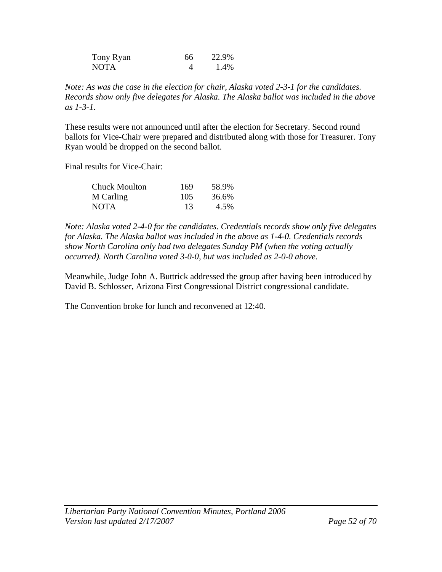| Tony Ryan   | 66 | 22.9% |
|-------------|----|-------|
| <b>NOTA</b> |    | 1.4%  |

*Note: As was the case in the election for chair, Alaska voted 2-3-1 for the candidates. Records show only five delegates for Alaska. The Alaska ballot was included in the above as 1-3-1.* 

These results were not announced until after the election for Secretary. Second round ballots for Vice-Chair were prepared and distributed along with those for Treasurer. Tony Ryan would be dropped on the second ballot.

Final results for Vice-Chair:

| Chuck Moulton | 169 | 58.9% |
|---------------|-----|-------|
| M Carling     | 105 | 36.6% |
| <b>NOTA</b>   | 13  | 4.5%  |

*Note: Alaska voted 2-4-0 for the candidates. Credentials records show only five delegates for Alaska. The Alaska ballot was included in the above as 1-4-0. Credentials records show North Carolina only had two delegates Sunday PM (when the voting actually occurred). North Carolina voted 3-0-0, but was included as 2-0-0 above.* 

Meanwhile, Judge John A. Buttrick addressed the group after having been introduced by David B. Schlosser, Arizona First Congressional District congressional candidate.

The Convention broke for lunch and reconvened at 12:40.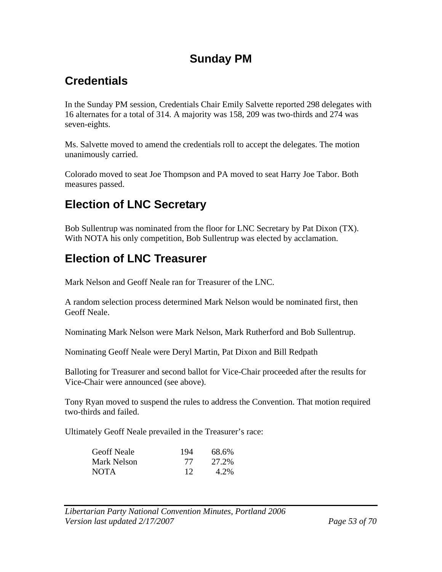### **Sunday PM**

# **Credentials**

In the Sunday PM session, Credentials Chair Emily Salvette reported 298 delegates with 16 alternates for a total of 314. A majority was 158, 209 was two-thirds and 274 was seven-eights.

Ms. Salvette moved to amend the credentials roll to accept the delegates. The motion unanimously carried.

Colorado moved to seat Joe Thompson and PA moved to seat Harry Joe Tabor. Both measures passed.

# **Election of LNC Secretary**

Bob Sullentrup was nominated from the floor for LNC Secretary by Pat Dixon (TX). With NOTA his only competition, Bob Sullentrup was elected by acclamation.

# **Election of LNC Treasurer**

Mark Nelson and Geoff Neale ran for Treasurer of the LNC.

A random selection process determined Mark Nelson would be nominated first, then Geoff Neale.

Nominating Mark Nelson were Mark Nelson, Mark Rutherford and Bob Sullentrup.

Nominating Geoff Neale were Deryl Martin, Pat Dixon and Bill Redpath

Balloting for Treasurer and second ballot for Vice-Chair proceeded after the results for Vice-Chair were announced (see above).

Tony Ryan moved to suspend the rules to address the Convention. That motion required two-thirds and failed.

Ultimately Geoff Neale prevailed in the Treasurer's race:

| <b>Geoff Neale</b> | 194 | 68.6% |
|--------------------|-----|-------|
| Mark Nelson        | 77  | 27.2% |
| <b>NOTA</b>        | 12  | 4.2%  |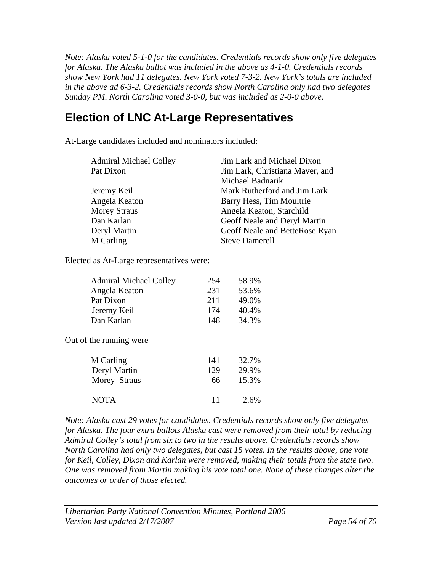*Note: Alaska voted 5-1-0 for the candidates. Credentials records show only five delegates for Alaska. The Alaska ballot was included in the above as 4-1-0. Credentials records show New York had 11 delegates. New York voted 7-3-2. New York's totals are included in the above ad 6-3-2. Credentials records show North Carolina only had two delegates Sunday PM. North Carolina voted 3-0-0, but was included as 2-0-0 above.* 

## **Election of LNC At-Large Representatives**

At-Large candidates included and nominators included:

| Jim Lark and Michael Dixon      |
|---------------------------------|
| Jim Lark, Christiana Mayer, and |
| Michael Badnarik                |
| Mark Rutherford and Jim Lark    |
| Barry Hess, Tim Moultrie        |
| Angela Keaton, Starchild        |
| Geoff Neale and Deryl Martin    |
| Geoff Neale and BetteRose Ryan  |
| <b>Steve Damerell</b>           |
|                                 |

Elected as At-Large representatives were:

| <b>Admiral Michael Colley</b> | 254 | 58.9%             |
|-------------------------------|-----|-------------------|
| Angela Keaton                 | 231 | 53.6%             |
| Pat Dixon                     | 211 | 49.0%             |
| Jeremy Keil                   | 174 | 40.4%             |
| Dan Karlan                    | 148 | 34.3%             |
| Out of the running were       |     |                   |
| M Carling                     | 141 | 32.7%             |
| Dervl Martin                  | 129 | 20 Q <sub>%</sub> |

| $DVI$ y i via un | $\sqrt{2}$ | $\sim$ $\sim$ $\sim$ $\sim$ |
|------------------|------------|-----------------------------|
| Morey Straus     | 66         | 15.3%                       |
| <b>NOTA</b>      | 11         | 2.6%                        |

*Note: Alaska cast 29 votes for candidates. Credentials records show only five delegates for Alaska. The four extra ballots Alaska cast were removed from their total by reducing Admiral Colley's total from six to two in the results above. Credentials records show North Carolina had only two delegates, but cast 15 votes. In the results above, one vote for Keil, Colley, Dixon and Karlan were removed, making their totals from the state two. One was removed from Martin making his vote total one. None of these changes alter the outcomes or order of those elected.* 

*Libertarian Party National Convention Minutes, Portland 2006 Version last updated 2/17/2007 Page 54 of 70*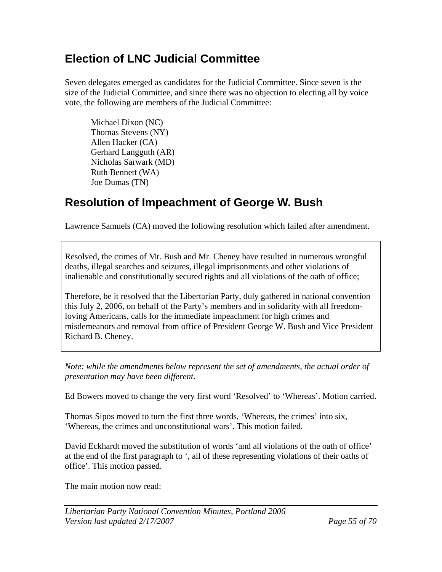## **Election of LNC Judicial Committee**

Seven delegates emerged as candidates for the Judicial Committee. Since seven is the size of the Judicial Committee, and since there was no objection to electing all by voice vote, the following are members of the Judicial Committee:

 Michael Dixon (NC) Thomas Stevens (NY) Allen Hacker (CA) Gerhard Langguth (AR) Nicholas Sarwark (MD) Ruth Bennett (WA) Joe Dumas (TN)

# **Resolution of Impeachment of George W. Bush**

Lawrence Samuels (CA) moved the following resolution which failed after amendment.

Resolved, the crimes of Mr. Bush and Mr. Cheney have resulted in numerous wrongful deaths, illegal searches and seizures, illegal imprisonments and other violations of inalienable and constitutionally secured rights and all violations of the oath of office;

Therefore, be it resolved that the Libertarian Party, duly gathered in national convention this July 2, 2006, on behalf of the Party's members and in solidarity with all freedomloving Americans, calls for the immediate impeachment for high crimes and misdemeanors and removal from office of President George W. Bush and Vice President Richard B. Cheney.

*Note: while the amendments below represent the set of amendments, the actual order of presentation may have been different.* 

Ed Bowers moved to change the very first word 'Resolved' to 'Whereas'. Motion carried.

Thomas Sipos moved to turn the first three words, 'Whereas, the crimes' into six, 'Whereas, the crimes and unconstitutional wars'. This motion failed.

David Eckhardt moved the substitution of words 'and all violations of the oath of office' at the end of the first paragraph to ', all of these representing violations of their oaths of office'. This motion passed.

The main motion now read: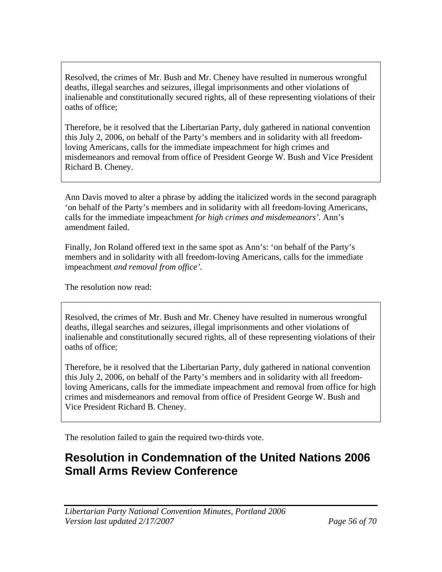Resolved, the crimes of Mr. Bush and Mr. Cheney have resulted in numerous wrongful deaths, illegal searches and seizures, illegal imprisonments and other violations of inalienable and constitutionally secured rights, all of these representing violations of their oaths of office;

Therefore, be it resolved that the Libertarian Party, duly gathered in national convention this July 2, 2006, on behalf of the Party's members and in solidarity with all freedomloving Americans, calls for the immediate impeachment for high crimes and misdemeanors and removal from office of President George W. Bush and Vice President Richard B. Cheney.

Ann Davis moved to alter a phrase by adding the italicized words in the second paragraph 'on behalf of the Party's members and in solidarity with all freedom-loving Americans, calls for the immediate impeachment *for high crimes and misdemeanors'.* Ann's amendment failed.

Finally, Jon Roland offered text in the same spot as Ann's: 'on behalf of the Party's members and in solidarity with all freedom-loving Americans, calls for the immediate impeachment *and removal from office'.*

The resolution now read:

Resolved, the crimes of Mr. Bush and Mr. Cheney have resulted in numerous wrongful deaths, illegal searches and seizures, illegal imprisonments and other violations of inalienable and constitutionally secured rights, all of these representing violations of their oaths of office;

Therefore, be it resolved that the Libertarian Party, duly gathered in national convention this July 2, 2006, on behalf of the Party's members and in solidarity with all freedomloving Americans, calls for the immediate impeachment and removal from office for high crimes and misdemeanors and removal from office of President George W. Bush and Vice President Richard B. Cheney.

The resolution failed to gain the required two-thirds vote.

### **Resolution in Condemnation of the United Nations 2006 Small Arms Review Conference**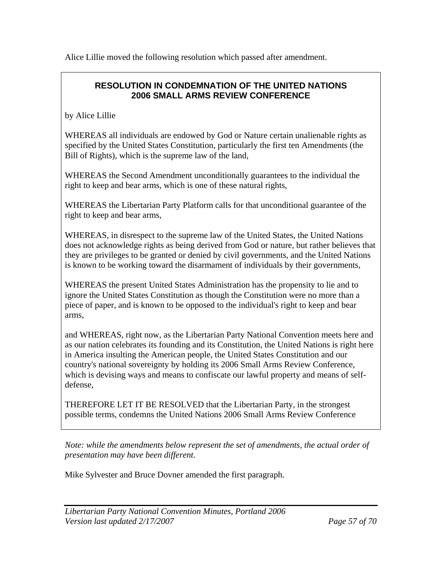Alice Lillie moved the following resolution which passed after amendment.

#### **RESOLUTION IN CONDEMNATION OF THE UNITED NATIONS 2006 SMALL ARMS REVIEW CONFERENCE**

by Alice Lillie

WHEREAS all individuals are endowed by God or Nature certain unalienable rights as specified by the United States Constitution, particularly the first ten Amendments (the Bill of Rights), which is the supreme law of the land,

WHEREAS the Second Amendment unconditionally guarantees to the individual the right to keep and bear arms, which is one of these natural rights,

WHEREAS the Libertarian Party Platform calls for that unconditional guarantee of the right to keep and bear arms,

WHEREAS, in disrespect to the supreme law of the United States, the United Nations does not acknowledge rights as being derived from God or nature, but rather believes that they are privileges to be granted or denied by civil governments, and the United Nations is known to be working toward the disarmament of individuals by their governments,

WHEREAS the present United States Administration has the propensity to lie and to ignore the United States Constitution as though the Constitution were no more than a piece of paper, and is known to be opposed to the individual's right to keep and bear arms,

and WHEREAS, right now, as the Libertarian Party National Convention meets here and as our nation celebrates its founding and its Constitution, the United Nations is right here in America insulting the American people, the United States Constitution and our country's national sovereignty by holding its 2006 Small Arms Review Conference, which is devising ways and means to confiscate our lawful property and means of selfdefense,

THEREFORE LET IT BE RESOLVED that the Libertarian Party, in the strongest possible terms, condemns the United Nations 2006 Small Arms Review Conference

*Note: while the amendments below represent the set of amendments, the actual order of presentation may have been different.* 

Mike Sylvester and Bruce Dovner amended the first paragraph.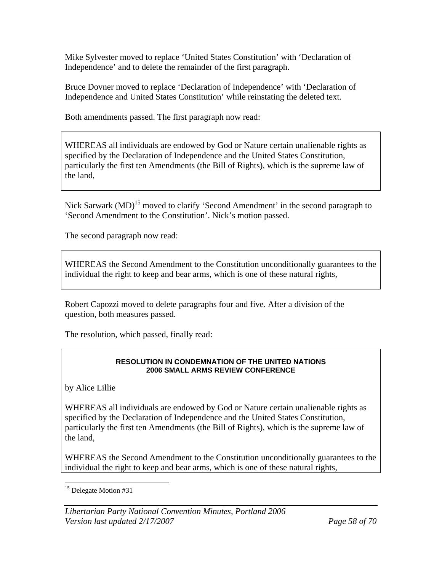Mike Sylvester moved to replace 'United States Constitution' with 'Declaration of Independence' and to delete the remainder of the first paragraph.

Bruce Dovner moved to replace 'Declaration of Independence' with 'Declaration of Independence and United States Constitution' while reinstating the deleted text.

Both amendments passed. The first paragraph now read:

WHEREAS all individuals are endowed by God or Nature certain unalienable rights as specified by the Declaration of Independence and the United States Constitution, particularly the first ten Amendments (the Bill of Rights), which is the supreme law of the land,

Nick Sarwark (MD)<sup>15</sup> moved to clarify 'Second Amendment' in the second paragraph to 'Second Amendment to the Constitution'. Nick's motion passed.

The second paragraph now read:

WHEREAS the Second Amendment to the Constitution unconditionally guarantees to the individual the right to keep and bear arms, which is one of these natural rights,

Robert Capozzi moved to delete paragraphs four and five. After a division of the question, both measures passed.

The resolution, which passed, finally read:

#### **RESOLUTION IN CONDEMNATION OF THE UNITED NATIONS 2006 SMALL ARMS REVIEW CONFERENCE**

by Alice Lillie

WHEREAS all individuals are endowed by God or Nature certain unalienable rights as specified by the Declaration of Independence and the United States Constitution, particularly the first ten Amendments (the Bill of Rights), which is the supreme law of the land,

WHEREAS the Second Amendment to the Constitution unconditionally guarantees to the individual the right to keep and bear arms, which is one of these natural rights,

 $\overline{a}$ <sup>15</sup> Delegate Motion #31

*Libertarian Party National Convention Minutes, Portland 2006 Version last updated 2/17/2007 Page 58 of 70*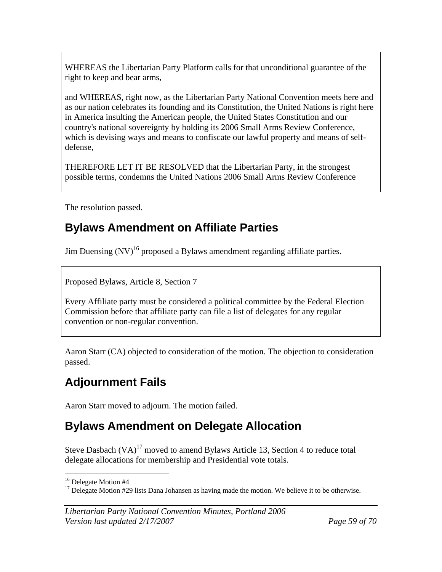WHEREAS the Libertarian Party Platform calls for that unconditional guarantee of the right to keep and bear arms,

and WHEREAS, right now, as the Libertarian Party National Convention meets here and as our nation celebrates its founding and its Constitution, the United Nations is right here in America insulting the American people, the United States Constitution and our country's national sovereignty by holding its 2006 Small Arms Review Conference, which is devising ways and means to confiscate our lawful property and means of selfdefense,

THEREFORE LET IT BE RESOLVED that the Libertarian Party, in the strongest possible terms, condemns the United Nations 2006 Small Arms Review Conference

The resolution passed.

## **Bylaws Amendment on Affiliate Parties**

Jim Duensing  $(NV)^{16}$  proposed a Bylaws amendment regarding affiliate parties.

Proposed Bylaws, Article 8, Section 7

Every Affiliate party must be considered a political committee by the Federal Election Commission before that affiliate party can file a list of delegates for any regular convention or non-regular convention.

Aaron Starr (CA) objected to consideration of the motion. The objection to consideration passed.

# **Adjournment Fails**

Aaron Starr moved to adjourn. The motion failed.

# **Bylaws Amendment on Delegate Allocation**

Steve Dasbach  $(VA)^{17}$  moved to amend Bylaws Article 13, Section 4 to reduce total delegate allocations for membership and Presidential vote totals.

 $\overline{a}$ <sup>16</sup> Delegate Motion #4

<sup>&</sup>lt;sup>17</sup> Delegate Motion  $#29$  lists Dana Johansen as having made the motion. We believe it to be otherwise.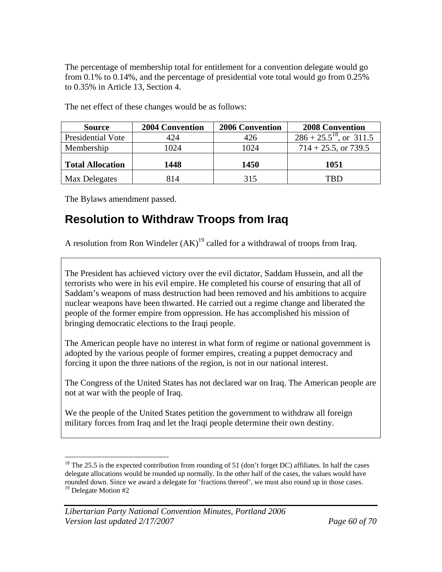The percentage of membership total for entitlement for a convention delegate would go from 0.1% to 0.14%, and the percentage of presidential vote total would go from 0.25% to 0.35% in Article 13, Section 4.

| <b>Source</b>           | <b>2004 Convention</b> | <b>2006 Convention</b> | <b>2008 Convention</b>       |  |  |
|-------------------------|------------------------|------------------------|------------------------------|--|--|
| Presidential Vote       | 424                    | 426                    | $286 + 25.5^{18}$ , or 311.5 |  |  |
| Membership              | 1024                   | 1024                   | $714 + 25.5$ , or 739.5      |  |  |
| <b>Total Allocation</b> | 1448                   | 1450                   | 1051                         |  |  |
| Max Delegates           | 814                    | 315                    | TRD                          |  |  |

The net effect of these changes would be as follows:

The Bylaws amendment passed.

 $\overline{a}$ 

# **Resolution to Withdraw Troops from Iraq**

A resolution from Ron Windeler  $(AK)^{19}$  called for a withdrawal of troops from Iraq.

The President has achieved victory over the evil dictator, Saddam Hussein, and all the terrorists who were in his evil empire. He completed his course of ensuring that all of Saddam's weapons of mass destruction had been removed and his ambitions to acquire nuclear weapons have been thwarted. He carried out a regime change and liberated the people of the former empire from oppression. He has accomplished his mission of bringing democratic elections to the Iraqi people.

The American people have no interest in what form of regime or national government is adopted by the various people of former empires, creating a puppet democracy and forcing it upon the three nations of the region, is not in our national interest.

The Congress of the United States has not declared war on Iraq. The American people are not at war with the people of Iraq.

We the people of the United States petition the government to withdraw all foreign military forces from Iraq and let the Iraqi people determine their own destiny.

<sup>&</sup>lt;sup>18</sup> The 25.5 is the expected contribution from rounding of 51 (don't forget DC) affiliates. In half the cases delegate allocations would be rounded up normally. In the other half of the cases, the values would have rounded down. Since we award a delegate for 'fractions thereof', we must also round up in those cases. <sup>19</sup> Delegate Motion #2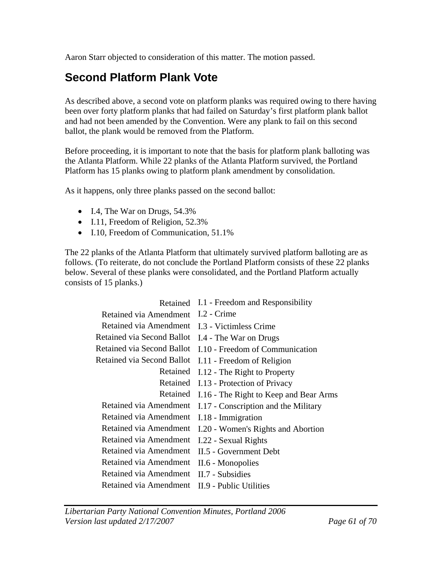Aaron Starr objected to consideration of this matter. The motion passed.

### **Second Platform Plank Vote**

As described above, a second vote on platform planks was required owing to there having been over forty platform planks that had failed on Saturday's first platform plank ballot and had not been amended by the Convention. Were any plank to fail on this second ballot, the plank would be removed from the Platform.

Before proceeding, it is important to note that the basis for platform plank balloting was the Atlanta Platform. While 22 planks of the Atlanta Platform survived, the Portland Platform has 15 planks owing to platform plank amendment by consolidation.

As it happens, only three planks passed on the second ballot:

- I.4, The War on Drugs, 54.3%
- I.11, Freedom of Religion, 52.3%
- I.10, Freedom of Communication, 51.1%

The 22 planks of the Atlanta Platform that ultimately survived platform balloting are as follows. (To reiterate, do not conclude the Portland Platform consists of these 22 planks below. Several of these planks were consolidated, and the Portland Platform actually consists of 15 planks.)

| Retained                   | I.1 - Freedom and Responsibility       |
|----------------------------|----------------------------------------|
| Retained via Amendment     | $I.2$ - Crime                          |
| Retained via Amendment     | I.3 - Victimless Crime                 |
| Retained via Second Ballot | I.4 - The War on Drugs                 |
| Retained via Second Ballot | I.10 - Freedom of Communication        |
| Retained via Second Ballot | I.11 - Freedom of Religion             |
| Retained                   | I.12 - The Right to Property           |
| Retained                   | I.13 - Protection of Privacy           |
| Retained                   | I.16 - The Right to Keep and Bear Arms |
| Retained via Amendment     | I.17 - Conscription and the Military   |
| Retained via Amendment     | I.18 - Immigration                     |
| Retained via Amendment     | I.20 - Women's Rights and Abortion     |
| Retained via Amendment     | I.22 - Sexual Rights                   |
| Retained via Amendment     | <b>II.5 - Government Debt</b>          |
| Retained via Amendment     | II.6 - Monopolies                      |
| Retained via Amendment     | II.7 - Subsidies                       |
| Retained via Amendment     | II.9 - Public Utilities                |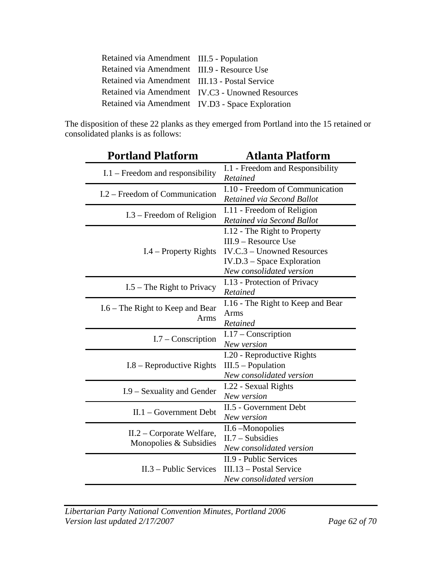| Retained via Amendment III.5 - Population      |                                                  |
|------------------------------------------------|--------------------------------------------------|
| Retained via Amendment III.9 - Resource Use    |                                                  |
| Retained via Amendment III.13 - Postal Service |                                                  |
|                                                | Retained via Amendment IV.C3 - Unowned Resources |
|                                                | Retained via Amendment IV.D3 - Space Exploration |

The disposition of these 22 planks as they emerged from Portland into the 15 retained or consolidated planks is as follows:

| <b>Portland Platform</b>                              | <b>Atlanta Platform</b>                                                                                                                          |  |  |  |  |  |
|-------------------------------------------------------|--------------------------------------------------------------------------------------------------------------------------------------------------|--|--|--|--|--|
| $I.1$ – Freedom and responsibility                    | I.1 - Freedom and Responsibility<br>Retained                                                                                                     |  |  |  |  |  |
| I.2 – Freedom of Communication                        | I.10 - Freedom of Communication<br>Retained via Second Ballot                                                                                    |  |  |  |  |  |
| $I.3$ – Freedom of Religion                           | I.11 - Freedom of Religion<br>Retained via Second Ballot                                                                                         |  |  |  |  |  |
| $I.4$ – Property Rights                               | I.12 - The Right to Property<br>$III.9 -$ Resource Use<br>IV.C.3 - Unowned Resources<br>$IV.D.3 - Space Exploration$<br>New consolidated version |  |  |  |  |  |
| $I.5$ – The Right to Privacy                          | I.13 - Protection of Privacy<br>Retained                                                                                                         |  |  |  |  |  |
| I.6 – The Right to Keep and Bear<br>Arms              | I.16 - The Right to Keep and Bear<br>Arms<br>Retained                                                                                            |  |  |  |  |  |
| $I.7 - Conservation$                                  | $I.17$ – Conscription<br>New version                                                                                                             |  |  |  |  |  |
| $I.8$ – Reproductive Rights                           | I.20 - Reproductive Rights<br>$III.5 - Population$<br>New consolidated version                                                                   |  |  |  |  |  |
| I.9 – Sexuality and Gender                            | I.22 - Sexual Rights<br>New version                                                                                                              |  |  |  |  |  |
| $II.1 - Government$ Debt                              | II.5 - Government Debt<br>New version                                                                                                            |  |  |  |  |  |
| $II.2$ – Corporate Welfare,<br>Monopolies & Subsidies | II.6 –Monopolies<br>$II.7 - Subsidies$<br>New consolidated version                                                                               |  |  |  |  |  |
| $II.3$ – Public Services                              | II.9 - Public Services<br>III.13 – Postal Service<br>New consolidated version                                                                    |  |  |  |  |  |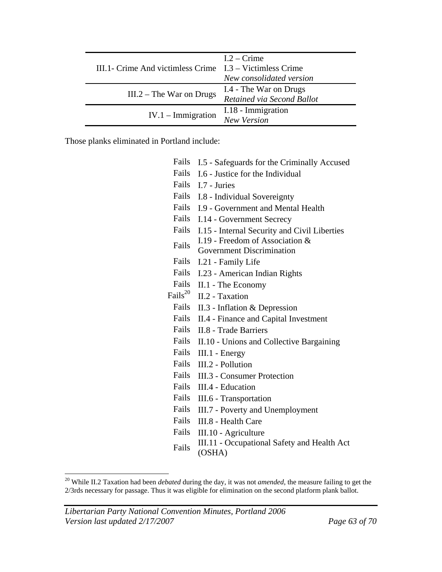| III.1- Crime And victimless Crime $I.3 - Victimless$ Crime | $1.2 -$ Crime<br>New consolidated version            |
|------------------------------------------------------------|------------------------------------------------------|
| $III.2$ – The War on Drugs                                 | I.4 - The War on Drugs<br>Retained via Second Ballot |
| $IV.1 - \text{Immigration}$                                | I.18 - Immigration<br>New Version                    |

Those planks eliminated in Portland include:

| Fails        | I.5 - Safeguards for the Criminally Accused                         |
|--------------|---------------------------------------------------------------------|
| Fails        | I.6 - Justice for the Individual                                    |
| Fails        | I.7 - Juries                                                        |
|              | Fails I.8 - Individual Sovereignty                                  |
| Fails        | I.9 - Government and Mental Health                                  |
| Fails        | I.14 - Government Secrecy                                           |
| Fails        | I.15 - Internal Security and Civil Liberties                        |
| Fails        | I.19 - Freedom of Association &<br><b>Government Discrimination</b> |
| Fails        | I.21 - Family Life                                                  |
| Fails        | I.23 - American Indian Rights                                       |
| Fails        | II.1 - The Economy                                                  |
| $Fails^{20}$ | II.2 - Taxation                                                     |
| Fails        | II.3 - Inflation & Depression                                       |
| Fails        | II.4 - Finance and Capital Investment                               |
| Fails        | <b>II.8 - Trade Barriers</b>                                        |
| Fails        | II.10 - Unions and Collective Bargaining                            |
| Fails        | $III.1$ - Energy                                                    |
| Fails        | III.2 - Pollution                                                   |
| Fails        | <b>III.3 - Consumer Protection</b>                                  |
| Fails        | III.4 - Education                                                   |
| Fails        | III.6 - Transportation                                              |
| Fails        | III.7 - Poverty and Unemployment                                    |
| Fails        | III.8 - Health Care                                                 |
| Fails        | III.10 - Agriculture                                                |
| Fails        | III.11 - Occupational Safety and Health Act<br>(OSHA)               |

<sup>20</sup> While II.2 Taxation had been *debated* during the day, it was not *amended*, the measure failing to get the 2/3rds necessary for passage. Thus it was eligible for elimination on the second platform plank ballot.

1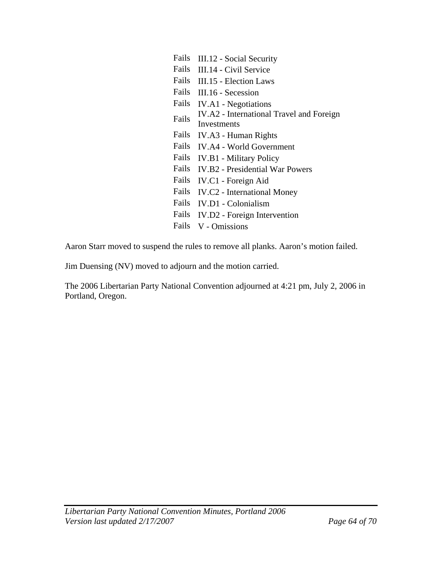| Fails | III.12 - Social Security                 |
|-------|------------------------------------------|
| Fails | III.14 - Civil Service                   |
| Fails | III.15 - Election Laws                   |
| Fails | III.16 - Secession                       |
| Fails | <b>IV.A1</b> - Negotiations              |
| Fails | IV.A2 - International Travel and Foreign |
|       | Investments                              |
| Fails | IV.A3 - Human Rights                     |
| Fails | <b>IV.A4 - World Government</b>          |
| Fails | <b>IV.B1</b> - Military Policy           |
| Fails | <b>IV.B2</b> - Presidential War Powers   |
| Fails | IV.C1 - Foreign Aid                      |
| Fails | <b>IV.C2</b> - International Money       |
| Fails | <b>IV.D1</b> - Colonialism               |
| Fails | IV.D2 - Foreign Intervention             |
| Fails | V - Omissions                            |

Aaron Starr moved to suspend the rules to remove all planks. Aaron's motion failed.

Jim Duensing (NV) moved to adjourn and the motion carried.

The 2006 Libertarian Party National Convention adjourned at 4:21 pm, July 2, 2006 in Portland, Oregon.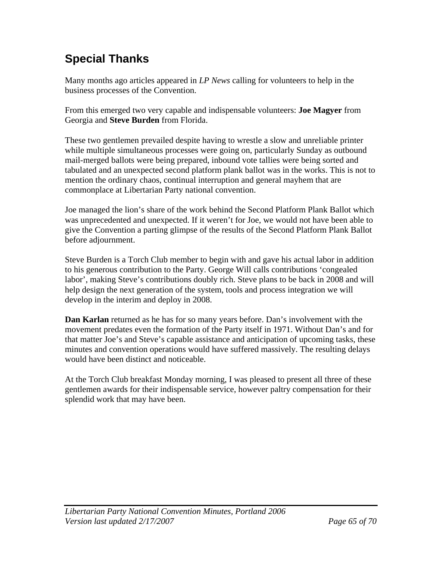# **Special Thanks**

Many months ago articles appeared in *LP News* calling for volunteers to help in the business processes of the Convention.

From this emerged two very capable and indispensable volunteers: **Joe Magyer** from Georgia and **Steve Burden** from Florida.

These two gentlemen prevailed despite having to wrestle a slow and unreliable printer while multiple simultaneous processes were going on, particularly Sunday as outbound mail-merged ballots were being prepared, inbound vote tallies were being sorted and tabulated and an unexpected second platform plank ballot was in the works. This is not to mention the ordinary chaos, continual interruption and general mayhem that are commonplace at Libertarian Party national convention.

Joe managed the lion's share of the work behind the Second Platform Plank Ballot which was unprecedented and unexpected. If it weren't for Joe, we would not have been able to give the Convention a parting glimpse of the results of the Second Platform Plank Ballot before adjournment.

Steve Burden is a Torch Club member to begin with and gave his actual labor in addition to his generous contribution to the Party. George Will calls contributions 'congealed labor', making Steve's contributions doubly rich. Steve plans to be back in 2008 and will help design the next generation of the system, tools and process integration we will develop in the interim and deploy in 2008.

**Dan Karlan** returned as he has for so many years before. Dan's involvement with the movement predates even the formation of the Party itself in 1971. Without Dan's and for that matter Joe's and Steve's capable assistance and anticipation of upcoming tasks, these minutes and convention operations would have suffered massively. The resulting delays would have been distinct and noticeable.

At the Torch Club breakfast Monday morning, I was pleased to present all three of these gentlemen awards for their indispensable service, however paltry compensation for their splendid work that may have been.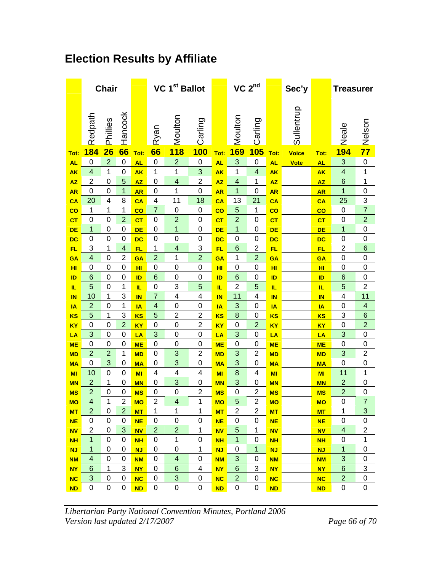# **Election Results by Affiliate**

|                         |                      | <b>Chair</b>   |                         |                        |                                           | VC 1 <sup>st</sup> Ballot |                | $VC$ $2nd$             |                 |                         |                        | Sec'y        |                         | <b>Treasurer</b>              |                  |  |
|-------------------------|----------------------|----------------|-------------------------|------------------------|-------------------------------------------|---------------------------|----------------|------------------------|-----------------|-------------------------|------------------------|--------------|-------------------------|-------------------------------|------------------|--|
|                         | Redpath              | Phillies       | Hancock                 |                        | Ryan                                      | Moulton                   | Carling        |                        | Moulton         | Carling                 |                        | Sullentrup   |                         | Neale                         | Nelson           |  |
| Tot:                    | 184                  | 26             | 66                      | Tot:                   | 66                                        | <b>118</b>                | <b>100</b>     | Tot:                   | <b>169</b>      | <b>105</b>              | Tot:                   | <b>Voice</b> | Tot:                    | <b>194</b>                    | $\overline{77}$  |  |
| <b>AL</b>               | 0                    | $\overline{c}$ | 0                       | <b>AL</b>              | 0                                         | $\overline{c}$            | $\mathbf 0$    | <b>AL</b>              | 3               | $\mathbf 0$             | <b>AL</b>              | <b>Vote</b>  | <b>AL</b>               | 3                             | 0                |  |
| <b>AK</b>               | 4                    | 1              | 0                       | <b>AK</b>              | 1                                         | 1                         | 3              | <b>AK</b>              | 1               | $\overline{\mathbf{4}}$ | <b>AK</b>              |              | <b>AK</b>               | $\overline{\mathbf{4}}$       | 1                |  |
| <b>AZ</b>               | $\overline{2}$       | 0              | 5                       | <b>AZ</b>              | 0                                         | $\overline{\mathbf{4}}$   | $\overline{2}$ | <b>AZ</b>              | 4               | 1                       | <b>AZ</b>              |              | <b>AZ</b>               | 6                             | 1                |  |
| <b>AR</b>               | 0                    | 0              | 1                       | <b>AR</b>              | 0                                         | 1                         | $\mathbf 0$    | <b>AR</b>              | 1               | 0                       | <b>AR</b>              |              | <b>AR</b>               | 1                             | 0                |  |
| CA                      | 20                   | 4              | 8                       | CA                     | 4                                         | 11                        | 18             | CA                     | 13              | 21                      | CA                     |              | CA                      | 25                            | 3                |  |
| $\overline{\mathbf{c}}$ | 1                    | 1              | 1                       | $\overline{\text{co}}$ | $\overline{7}$                            | 0                         | 0              | co                     | 5               | 1                       | $\overline{\text{co}}$ |              | $\overline{\mathbf{c}}$ | $\mathbf 0$                   | $\overline{7}$   |  |
| cr                      | 0                    | 0              | $\overline{2}$          | CT                     | 0                                         | $\overline{2}$            | 0              | cr                     | $\overline{2}$  | 0                       | $c_{T}$                |              | CT                      | $\mathbf 0$                   | $\overline{2}$   |  |
| <b>DE</b>               | 1                    | $\mathbf 0$    | 0                       | <b>DE</b>              | $\mathbf 0$                               | $\mathbf{1}$              | $\mathbf 0$    | <b>DE</b>              | 1               | $\mathbf 0$             | DE                     |              | <b>DE</b>               | $\overline{\mathbf{1}}$       | 0                |  |
| <b>DC</b>               | 0                    | $\mathbf 0$    | 0                       | <b>DC</b>              | 0                                         | $\mathbf 0$               | 0              | <b>DC</b>              | 0               | $\boldsymbol{0}$        | <b>DC</b>              |              | DC                      | $\mathbf 0$                   | 0                |  |
| <b>FL</b>               | 3                    | 1              | $\overline{\mathbf{4}}$ | <b>FL</b>              | 1                                         | $\overline{\mathbf{4}}$   | 3              | <b>FL</b>              | 6               | $\overline{2}$          | FL                     |              | <b>FL</b>               | $\overline{2}$                | $6\phantom{1}6$  |  |
| GA                      | 4                    | 0              | 2                       | GA                     | $\overline{2}$                            | 1                         | $\overline{2}$ | GA                     | 1               | $\overline{c}$          | GA                     |              | <b>GA</b>               | $\mathbf 0$                   | 0                |  |
| H <sub>II</sub>         | 0                    | 0              | 0                       | HI                     | 0                                         | 0                         | 0              | нı                     | 0               | $\mathbf 0$             | HI                     |              | HI                      | 0                             | 0                |  |
| ID                      | 6                    | 0              | 0                       | ID                     | $6\phantom{1}6$                           | 0                         | 0              | ID                     | $6\phantom{1}6$ | $\mathbf 0$             | ID                     |              | ID                      | 6                             | 0                |  |
| IL                      | 5                    | 0              | 1                       | IL.                    | $\mathbf 0$                               | 3                         | 5              | IL.                    | $\overline{2}$  | 5                       | IL.                    |              | IL.                     | 5                             | $\overline{2}$   |  |
| IN                      | 10<br>$\overline{2}$ | 1<br>0         | 3<br>1                  | <b>IN</b>              | $\overline{7}$<br>$\overline{\mathbf{4}}$ | 4<br>0                    | 4<br>0         | IN                     | 11<br>3         | 4<br>$\mathbf 0$        | IN                     |              | <b>IN</b>               | $\overline{4}$<br>$\mathbf 0$ | 11<br>4          |  |
| <b>IA</b>               | 5                    | 1              | 3                       | IA                     | 5                                         | $\overline{2}$            | $\overline{2}$ | IA                     | 8               | 0                       | ΙA                     |              | IA                      | 3                             | 6                |  |
| <b>KS</b><br><b>KY</b>  | 0                    | 0              | $\overline{2}$          | <b>KS</b><br><b>KY</b> | 0                                         | 0                         | $\overline{2}$ | <b>KS</b><br><b>KY</b> | 0               | $\overline{2}$          | <b>KS</b><br><b>KY</b> |              | <b>KS</b><br><b>KY</b>  | $\mathbf 0$                   | $\overline{c}$   |  |
| LA                      | 3                    | 0              | 0                       | LA                     | 3                                         | $\mathbf 0$               | 0              | LA                     | 3               | $\mathbf 0$             | LA                     |              | LA                      | 3                             | 0                |  |
| <b>ME</b>               | 0                    | $\mathbf 0$    | 0                       | <b>ME</b>              | $\mathbf 0$                               | $\mathbf 0$               | $\mathbf 0$    | <b>ME</b>              | 0               | $\mathbf 0$             | <b>ME</b>              |              | <b>ME</b>               | $\mathbf 0$                   | 0                |  |
| <b>MD</b>               | $\overline{2}$       | $\overline{c}$ | 1                       | <b>MD</b>              | 0                                         | 3                         | $\overline{2}$ | <b>MD</b>              | 3               | $\overline{2}$          | <b>MD</b>              |              | <b>MD</b>               | 3                             | $\overline{2}$   |  |
| <b>MA</b>               | 0                    | 3              | 0                       | <b>MA</b>              | 0                                         | 3                         | 0              | <b>MA</b>              | 3               | $\mathbf 0$             | <b>MA</b>              |              | <b>MA</b>               | 0                             | 0                |  |
| MI                      | 10                   | $\mathbf 0$    | 0                       | MI                     | 4                                         | 4                         | 4              | MI                     | 8               | 4                       | MI                     |              | MI                      | 11                            | 1                |  |
| <b>MN</b>               | $\overline{2}$       | 1              | 0                       | <b>MN</b>              | $\mathbf 0$                               | 3                         | 0              | <b>MN</b>              | 3               | $\mathbf 0$             | <b>MN</b>              |              | <b>MN</b>               | $\overline{2}$                | 0                |  |
| <b>MS</b>               | $\overline{2}$       | 0              | 0                       | <b>MS</b>              | 0                                         | 0                         | $\overline{2}$ | <b>MS</b>              | 0               | $\overline{c}$          | <b>MS</b>              |              | <b>MS</b>               | $\overline{2}$                | 0                |  |
| <b>MO</b>               | 4                    | 1              | 2                       | <b>MO</b>              | $\overline{2}$                            | 4                         | 1              | <b>MO</b>              | 5               | $\overline{2}$          | MO                     |              | <b>MO</b>               | $\mathbf 0$                   | $\overline{7}$   |  |
| <b>MT</b>               | $\overline{2}$       | 0              | $\overline{2}$          | <b>MT</b>              | $\mathbf 1$                               | 1                         | $\mathbf 1$    | <b>MT</b>              | $\overline{2}$  | $\overline{2}$          | <b>MT</b>              |              | <b>MT</b>               | 1                             | 3                |  |
| <b>NE</b>               | 0                    | 0              | 0                       | <b>NE</b>              | 0                                         | $\pmb{0}$                 | 0              | <b>NE</b>              | $\mathbf 0$     | 0                       | <b>NE</b>              |              | <b>NE</b>               | $\pmb{0}$                     | 0                |  |
| <b>NV</b>               | $\overline{2}$       | 0              | 3                       | <b>NV</b>              | $\overline{2}$                            | $\overline{2}$            | $\mathbf 1$    | <b>NV</b>              | 5               | 1                       | <b>NV</b>              |              | <b>NV</b>               | $\overline{4}$                | 2                |  |
| <b>NH</b>               | 1                    | 0              | 0                       | <b>NH</b>              | 0                                         | $\mathbf 1$               | 0              | <b>NH</b>              | 1               | 0                       | <b>NH</b>              |              | <b>NH</b>               | 0                             | 1                |  |
| <b>NJ</b>               | 1                    | 0              | 0                       | <b>NJ</b>              | 0                                         | 0                         | 1              | <b>NJ</b>              | 0               | 1                       | <b>NJ</b>              |              | <b>NJ</b>               | $\mathbf{1}$                  | 0                |  |
| <b>NM</b>               | 4                    | $\mathbf 0$    | 0                       | <b>NM</b>              | 0                                         | $\overline{\mathbf{4}}$   | 0              | <b>NM</b>              | 3               | 0                       | <b>NM</b>              |              | <b>NM</b>               | $\sqrt{3}$                    | $\boldsymbol{0}$ |  |
| <b>NY</b>               | $6\phantom{1}6$      | $\mathbf 1$    | 3                       | <b>NY</b>              | 0                                         | $6\phantom{1}$            | 4              | <b>NY</b>              | $6\phantom{1}6$ | 3                       | <b>NY</b>              |              | <b>NY</b>               | $\,6$                         | 3                |  |
| <b>NC</b>               | $\mathbf{3}$         | 0              | 0                       | <b>NC</b>              | 0                                         | 3                         | 0              | <b>NC</b>              | $\overline{2}$  | 0                       | <b>NC</b>              |              | <b>NC</b>               | $\overline{2}$                | 0                |  |
| <b>ND</b>               | 0                    | 0              | 0                       | <b>ND</b>              | 0                                         | $\pmb{0}$                 | 0              | <b>ND</b>              | $\mathbf 0$     | 0                       | <b>ND</b>              |              | <b>ND</b>               | 0                             | 0                |  |

*Libertarian Party National Convention Minutes, Portland 2006 Version last updated 2/17/2007 Page 66 of 70*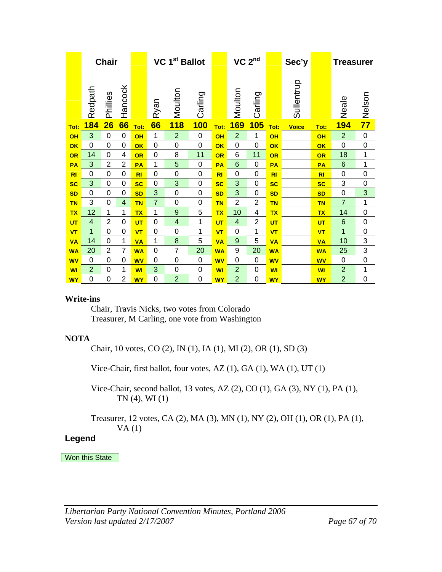|           | <b>Chair</b>   |                |                | VC 1 <sup>st</sup> Ballot |                |                | $VC$ $2nd$  |           |                | Sec'y          |                        | <b>Treasurer</b> |                |                 |                 |
|-----------|----------------|----------------|----------------|---------------------------|----------------|----------------|-------------|-----------|----------------|----------------|------------------------|------------------|----------------|-----------------|-----------------|
|           | Redpath        | Phillies       | Hancock        |                           | Ryan           | Moulton        | Carling     |           | Moulton        | Carling        |                        | Sullentrup       |                | Neale           | Nelson          |
| Tot:      | <b>184</b>     | 26             | 66             | Tot:                      | 66             | <b>118</b>     | <b>100</b>  | Tot:      | <b>169</b>     | 105            | Tot:                   | <b>Voice</b>     | Tot:           | <b>194</b>      | $\overline{77}$ |
| OH        | 3              | 0              | 0              | OH                        | 1              | $\overline{2}$ | 0           | OH        | $\overline{2}$ | 1              | OH                     |                  | OH             | $\overline{2}$  | 0               |
| OK        | $\overline{0}$ | 0              | $\mathbf 0$    | OK                        | $\mathbf 0$    | $\mathbf 0$    | 0           | OK        | $\overline{0}$ | 0              | $\overline{\text{OK}}$ |                  | OK             | $\mathbf 0$     | $\mathbf 0$     |
| OR        | 14             | 0              | 4              | OR                        | 0              | 8              | 11          | OR        | 6              | 11             | OR                     |                  | OR             | 18              | 1               |
| PA        | 3              | $\overline{2}$ | $\overline{2}$ | <b>PA</b>                 | 1              | 5              | 0           | PA        | 6              | 0              | PA                     |                  | <b>PA</b>      | $6\phantom{1}6$ | 1               |
| R1        | 0              | 0              | 0              | R1                        | 0              | $\mathbf 0$    | 0           | <b>RI</b> | 0              | 0              | <b>RI</b>              |                  | R <sub>l</sub> | $\mathbf 0$     | 0               |
| <b>SC</b> | 3              | 0              | 0              | <b>SC</b>                 | 0              | 3              | $\mathbf 0$ | <b>SC</b> | 3              | 0              | <b>SC</b>              |                  | <b>SC</b>      | 3               | 0               |
| <b>SD</b> | 0              | 0              | 0              | <b>SD</b>                 | 3              | $\mathbf 0$    | $\mathbf 0$ | <b>SD</b> | 3              | 0              | <b>SD</b>              |                  | <b>SD</b>      | 0               | 3               |
| <b>TN</b> | 3              | $\mathbf 0$    | 4              | <b>TN</b>                 | $\overline{7}$ | $\mathbf 0$    | $\mathbf 0$ | <b>TN</b> | $\overline{2}$ | $\overline{2}$ | <b>TN</b>              |                  | <b>TN</b>      | $\overline{7}$  | 1               |
| <b>TX</b> | 12             | 1              | 1              | <b>TX</b>                 | 1              | 9              | 5           | <b>TX</b> | 10             | 4              | <b>TX</b>              |                  | <b>TX</b>      | 14              | 0               |
| UT        | 4              | $\overline{2}$ | 0              | UT                        | 0              | 4              | 1           | UT        | 4              | $\overline{2}$ | UT                     |                  | UT             | 6               | 0               |
| <b>VT</b> | 1              | 0              | 0              | <b>VT</b>                 | 0              | 0              | 1           | <b>VT</b> | 0              | 1              | <b>VT</b>              |                  | VT             | 1               | 0               |
| <b>VA</b> | 14             | $\mathbf 0$    | 1              | <b>VA</b>                 | 1              | 8              | 5           | <b>VA</b> | 9              | 5              | <b>VA</b>              |                  | <b>VA</b>      | 10              | 3               |
| <b>WA</b> | 20             | $\overline{2}$ | $\overline{7}$ | <b>WA</b>                 | $\mathbf 0$    | $\overline{7}$ | 20          | <b>WA</b> | 9              | 20             | <b>WA</b>              |                  | <b>WA</b>      | 25              | 3               |
| <b>WV</b> | 0              | 0              | 0              | <b>WV</b>                 | 0              | $\mathbf 0$    | $\mathbf 0$ | <b>WV</b> | $\Omega$       | 0              | <b>WV</b>              |                  | <b>WV</b>      | $\mathbf 0$     | $\mathbf 0$     |
| <b>WI</b> | $\overline{2}$ | 0              | 1              | <b>WI</b>                 | 3              | 0              | 0           | WI        | $\overline{2}$ | 0              | WI                     |                  | WI             | $\overline{2}$  | 1               |
| <b>WY</b> | 0              | 0              | 2              | W٢                        | 0              | $\overline{2}$ | 0           | <b>WY</b> | $\overline{2}$ | 0              | <b>WY</b>              |                  | <b>WY</b>      | $\overline{2}$  | 0               |

#### **Write-ins**

 Chair, Travis Nicks, two votes from Colorado Treasurer, M Carling, one vote from Washington

#### **NOTA**

Chair, 10 votes, CO (2), IN (1), IA (1), MI (2), OR (1), SD (3)

Vice-Chair, first ballot, four votes, AZ (1), GA (1), WA (1), UT (1)

 Vice-Chair, second ballot, 13 votes, AZ (2), CO (1), GA (3), NY (1), PA (1), TN (4), WI (1)

Treasurer, 12 votes, CA (2), MA (3), MN (1), NY (2), OH (1), OR (1), PA (1),  $VA(1)$ 

#### **Legend**

Won this State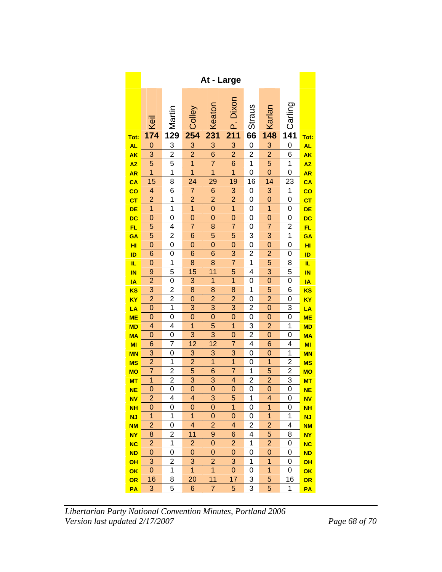|                          | At - Large              |                |                         |                           |                         |                         |                         |                |           |  |  |
|--------------------------|-------------------------|----------------|-------------------------|---------------------------|-------------------------|-------------------------|-------------------------|----------------|-----------|--|--|
| Tot:                     | Keil<br>174             | 129<br>129     | Colley<br>254           | Keaton<br>231             | Dixon<br>₫<br>211       | <b>Straus</b><br>66     | Karlan<br>148           | Carling<br>141 | Tot:      |  |  |
| <b>AL</b>                | $\mathbf{0}$            | 3              |                         | $\overline{3}$            | $\overline{3}$          | 0                       | $\overline{3}$          | 0              | <b>AL</b> |  |  |
| <b>AK</b>                | 3                       | $\overline{2}$ | $\frac{3}{2}$           | $\overline{6}$            | $\overline{2}$          | $\overline{\mathbf{c}}$ | $\overline{2}$          | 6              | <b>AK</b> |  |  |
| <b>AZ</b>                | 5                       | 5              | $\overline{1}$          | $\overline{7}$            | $\overline{6}$          | $\overline{1}$          | $\overline{5}$          | $\overline{1}$ | <b>AZ</b> |  |  |
| <b>AR</b>                | $\overline{1}$          | $\mathbf{1}$   | $\overline{1}$          | $\overline{1}$            | $\overline{1}$          | 0                       | $\mathbf 0$             | 0              | <b>AR</b> |  |  |
| CA                       | $\overline{15}$         | 8              | $\overline{24}$         | 29                        | 19                      | 16                      | $\overline{14}$         | 23             | CA        |  |  |
| $\overline{\mathbf{co}}$ | 4                       | 6              | $\overline{7}$          | $\overline{6}$            | $\overline{3}$          | 0                       | $\overline{3}$          | $\overline{1}$ | <u>co</u> |  |  |
| <b>CT</b>                | $\overline{\mathbf{c}}$ | 1              | $\overline{2}$          | $\overline{\mathbf{c}}$   | $\overline{2}$          | 0                       | $\mathbf{0}$            | 0              | СT        |  |  |
| DE                       | 1                       | $\mathbf{1}$   | $\overline{1}$          | $\overline{0}$            | $\overline{1}$          | 0                       | $\overline{1}$          | 0              | DE        |  |  |
| DC                       | $\overline{0}$          | 0              | $\overline{0}$          | $\overline{0}$            | $\mathbf 0$             | 0                       | $\mathbf 0$             | 0              | DC        |  |  |
| FL                       | 5                       | 4              | $\overline{7}$          | 8                         | 7                       | 0                       | 7                       | 2              | FL.       |  |  |
| GA                       | 5                       | $\overline{c}$ | 6                       | 5                         | 5                       | 3                       | 3                       | 1              | GA        |  |  |
| HI                       | $\mathbf 0$             | 0              | $\mathbf 0$             | $\mathbf 0$               | $\overline{0}$          | $\overline{0}$          | $\mathbf 0$             | 0              | HI        |  |  |
| ID                       | 6                       | 0              | 6                       | 6                         | 3                       | $\overline{c}$          | $\overline{\mathbf{c}}$ | 0              | ID        |  |  |
| IL.                      | $\mathbf 0$             | 1              | 8                       | 8                         | $\overline{7}$          | 1                       | 5                       | 8              | IL.       |  |  |
| <b>IN</b>                | 9                       | 5              | 15                      | 11                        | 5                       | $\overline{4}$          | $\overline{3}$          | 5              | IN        |  |  |
| IA                       | $\overline{c}$          | 0              | 3                       | 1                         | $\overline{\mathbf{1}}$ | 0                       | $\mathbf 0$             | 0              | IA        |  |  |
| KS                       | $\overline{3}$          | $\overline{c}$ | 8                       | 8                         | 8                       | 1                       | 5                       | 6              | ΚS        |  |  |
| <b>KY</b>                | $\overline{2}$          | $\overline{2}$ | $\overline{0}$          | $\overline{2}$            | $\overline{2}$          | $\overline{0}$          | $\overline{2}$          | 0              | ΚY        |  |  |
| LA                       | $\mathbf{0}$            | 1              | 3                       | 3                         | 3                       | $\overline{\mathbf{c}}$ | $\mathbf 0$             | 3              | LA        |  |  |
| <b>ME</b>                | $\overline{0}$          | 0              | $\overline{0}$          | $\overline{0}$            | $\overline{0}$          | 0                       | $\mathbf 0$             | $\overline{0}$ | ME        |  |  |
| <b>MD</b>                | $\overline{\mathbf{4}}$ | 4              | $\overline{1}$          | 5                         | $\overline{1}$          | 3                       | $\overline{2}$          | $\overline{1}$ | <b>MD</b> |  |  |
| <b>MA</b>                | 0                       | 0              | 3                       | 3                         | $\mathbf{0}$            | $\overline{\mathbf{c}}$ | $\mathbf 0$             | 0              | <b>MA</b> |  |  |
| MI                       | 6                       | 7              | $\overline{12}$         | $\overline{12}$           | $\overline{7}$          | 4                       | 6                       | 4              | MI        |  |  |
| <b>MN</b>                | 3                       | 0              | $\overline{3}$          | $\overline{3}$            | $\overline{3}$          | $\overline{0}$          | $\mathbf 0$             | $\overline{1}$ | <b>MN</b> |  |  |
| <b>MS</b>                | $\overline{c}$          | 1              | $\overline{c}$          | 1                         | 1                       | 0                       | 1                       | 2              | <b>MS</b> |  |  |
| <b>MO</b>                | $\overline{7}$          | $\overline{c}$ | $\overline{5}$          | 6                         | $\overline{7}$          | 1                       | 5                       | $\overline{c}$ | <b>MO</b> |  |  |
| <b>MT</b>                | $\overline{1}$          | $\overline{2}$ | $\overline{3}$          | $\overline{3}$            | 4                       | $\overline{2}$          | $\overline{2}$          | $\overline{3}$ | <u>MT</u> |  |  |
| <b>NE</b>                | $\mathbf{0}$            | $\overline{0}$ | $\overline{0}$          | $\overline{0}$            | $\mathbf{O}$            | 0                       | $\overline{0}$          | 0              | <b>NE</b> |  |  |
| <b>NV</b>                | $\overline{2}$          | $\overline{4}$ | 4                       | $\overline{\overline{3}}$ | 5                       | $\overline{1}$          | $\overline{4}$          | $\overline{0}$ | <b>NV</b> |  |  |
| <b>NH</b>                | 0                       | 0              | 0                       | 0                         | $\overline{1}$          | 0                       | $\overline{1}$          | 0              | <b>NH</b> |  |  |
| <b>NJ</b>                | 1                       | 1              | 1                       | 0                         | 0                       | 0                       | 1                       | 1              | <b>NJ</b> |  |  |
| <b>NM</b>                | $\overline{c}$          | 0              | $\overline{\mathbf{4}}$ | $\overline{2}$            | 4                       | 2                       | $\overline{2}$          | 4              | <b>NM</b> |  |  |
| <b>NY</b>                | 8                       | $\overline{c}$ | 11                      | 9                         | 6                       | 4                       | 5                       | 8              | <b>NY</b> |  |  |
| <b>NC</b>                | $\overline{c}$          | 1              | $\overline{c}$          | 0                         | $\overline{c}$          | 1                       | $\overline{\mathbf{c}}$ | 0              | <b>NC</b> |  |  |
| <b>ND</b>                | $\mathbf 0$             | 0              | $\mathbf 0$             | $\mathbf 0$               | 0                       | 0                       | $\mathbf 0$             | 0              | <b>ND</b> |  |  |
| <b>OH</b>                | 3                       | $\overline{c}$ | 3                       | $\overline{2}$            | 3                       | 1                       | $\overline{1}$          | 0              | <b>OH</b> |  |  |
| OK                       | 0                       | 1              | 1                       | 1                         | 0                       | 0                       | 1                       | 0              | OK        |  |  |
| OR                       | 16                      | 8              | 20                      | 11                        | 17                      | 3                       | 5                       | 16             | OR        |  |  |
| PA                       | $\mathbf{3}$            | 5              | 6                       | $\overline{7}$            | 5                       | 3                       | 5                       | 1              | PA        |  |  |

*Libertarian Party National Convention Minutes, Portland 2006 Version last updated 2/17/2007 Page 68 of 70*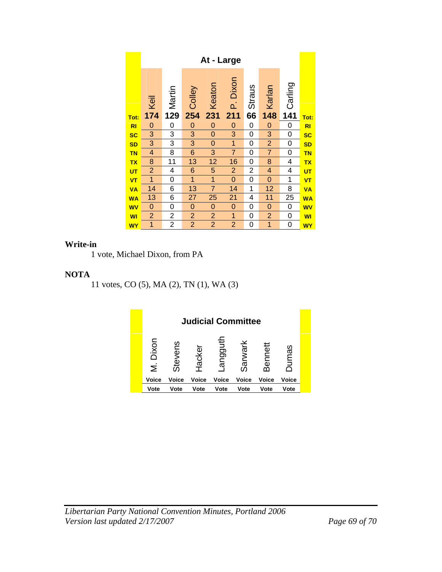|                | At - Large     |                |                |                |                |                |                |         |                |  |  |  |
|----------------|----------------|----------------|----------------|----------------|----------------|----------------|----------------|---------|----------------|--|--|--|
|                |                | 129<br>Martin  | Colley         | Keaton         | P. Dixon       | <b>Straus</b>  | Karlan         | Carling |                |  |  |  |
| Tot:           |                |                | 254            | 231            | 211            | 66             | 148            | 141     | Tot:           |  |  |  |
| R <sub>l</sub> | 0              | 0              | 0              | $\mathbf 0$    | $\mathbf 0$    | 0              | $\mathbf 0$    | 0       | R <sub>l</sub> |  |  |  |
| <b>SC</b>      | 3              | 3              | 3              | 0              | 3              | 0              | 3              | 0       | <b>SC</b>      |  |  |  |
| <b>SD</b>      | 3              | 3              | 3              | $\mathbf 0$    | $\overline{1}$ | 0              | $\overline{2}$ | 0       | <b>SD</b>      |  |  |  |
| <b>TN</b>      | 4              | 8              | 6              | 3              | $\overline{7}$ | 0              | $\overline{7}$ | 0       | <b>TN</b>      |  |  |  |
| <b>TX</b>      | 8              | 11             | 13             | 12             | 16             | 0              | 8              | 4       | <b>TX</b>      |  |  |  |
| <b>UT</b>      | $\overline{2}$ | 4              | 6              | 5              | $\overline{2}$ | $\overline{2}$ | 4              | 4       | <b>UT</b>      |  |  |  |
| VT             | 1              | 0              | 1              | 1              | 0              | 0              | 0              | 1       | <b>VT</b>      |  |  |  |
| <b>VA</b>      | 14             | 6              | 13             | $\overline{7}$ | 14             | 1              | 12             | 8       | <b>VA</b>      |  |  |  |
| <b>WA</b>      | 13             | 6              | 27             | 25             | 21             | 4              | 11             | 25      | <b>WA</b>      |  |  |  |
| <b>WV</b>      | 0              | 0              | $\mathbf 0$    | $\mathbf 0$    | $\mathbf 0$    | 0              | $\mathbf 0$    | 0       | <b>WV</b>      |  |  |  |
| <b>WI</b>      | $\overline{2}$ | 2              | $\overline{2}$ | $\overline{2}$ | 1              | 0              | $\overline{2}$ | 0       | <b>WI</b>      |  |  |  |
| <b>WY</b>      | 1              | $\overline{2}$ | $\overline{2}$ | $\overline{2}$ | $\overline{2}$ | 0              | 1              | 0       | <b>WY</b>      |  |  |  |

#### **Write-in**

1 vote, Michael Dixon, from PA

#### **NOTA**

11 votes, CO (5), MA (2), TN (1), WA (3)